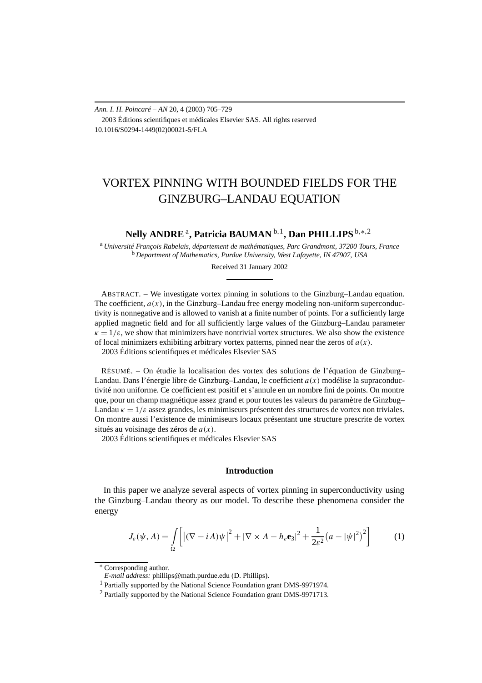*Ann. I. H. Poincaré – AN* 20, 4 (2003) 705–729 2003 Éditions scientifiques et médicales Elsevier SAS. All rights reserved 10.1016/S0294-1449(02)00021-5/FLA

# VORTEX PINNING WITH BOUNDED FIELDS FOR THE GINZBURG–LANDAU EQUATION

**Nelly ANDRE**a**, Patricia BAUMAN** <sup>b</sup>*,*1**, Dan PHILLIPS** <sup>b</sup>*,*∗*,*<sup>2</sup>

<sup>a</sup> *Université François Rabelais, département de mathématiques, Parc Grandmont, 37200 Tours, France* <sup>b</sup> *Department of Mathematics, Purdue University, West Lafayette, IN 47907, USA*

Received 31 January 2002

ABSTRACT. – We investigate vortex pinning in solutions to the Ginzburg–Landau equation. The coefficient,  $a(x)$ , in the Ginzburg–Landau free energy modeling non-uniform superconductivity is nonnegative and is allowed to vanish at a finite number of points. For a sufficiently large applied magnetic field and for all sufficiently large values of the Ginzburg–Landau parameter  $\kappa = 1/\varepsilon$ , we show that minimizers have nontrivial vortex structures. We also show the existence of local minimizers exhibiting arbitrary vortex patterns, pinned near the zeros of  $a(x)$ . 2003 Éditions scientifiques et médicales Elsevier SAS

RÉSUMÉ. – On étudie la localisation des vortex des solutions de l'équation de Ginzburg– Landau. Dans l'énergie libre de Ginzburg–Landau, le coefficient *a(x)* modélise la supraconductivité non uniforme. Ce coefficient est positif et s'annule en un nombre fini de points. On montre que, pour un champ magnétique assez grand et pour toutes les valeurs du paramètre de Ginzbug– Landau  $\kappa = 1/\varepsilon$  assez grandes, les minimiseurs présentent des structures de vortex non triviales. On montre aussi l'existence de minimiseurs locaux présentant une structure prescrite de vortex situés au voisinage des zéros de *a(x)*.

2003 Éditions scientifiques et médicales Elsevier SAS

## **Introduction**

In this paper we analyze several aspects of vortex pinning in superconductivity using the Ginzburg–Landau theory as our model. To describe these phenomena consider the energy

$$
J_{\varepsilon}(\psi, A) = \int_{\Omega} \left[ \left| (\nabla - i A) \psi \right|^2 + \left| \nabla \times A - h_{\varepsilon} \mathbf{e}_3 \right|^2 + \frac{1}{2\varepsilon^2} \left( a - |\psi|^2 \right)^2 \right] \tag{1}
$$

<sup>∗</sup> Corresponding author.

*E-mail address:* phillips@math.purdue.edu (D. Phillips).

<sup>1</sup> Partially supported by the National Science Foundation grant DMS-9971974.

<sup>&</sup>lt;sup>2</sup> Partially supported by the National Science Foundation grant DMS-9971713.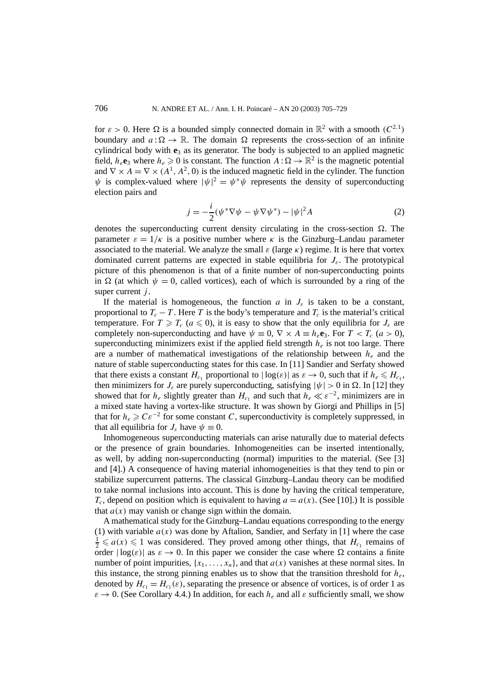for  $\varepsilon > 0$ . Here  $\Omega$  is a bounded simply connected domain in  $\mathbb{R}^2$  with a smooth  $(C^{2,1})$ boundary and  $a:\Omega \to \mathbb{R}$ . The domain  $\Omega$  represents the cross-section of an infinite cylindrical body with **e**<sup>3</sup> as its generator. The body is subjected to an applied magnetic field,  $h_e$ **e**<sub>3</sub> where  $h_e \ge 0$  is constant. The function  $A : \Omega \to \mathbb{R}^2$  is the magnetic potential and  $\nabla \times A = \nabla \times (A^1, A^2, 0)$  is the induced magnetic field in the cylinder. The function  $\psi$  is complex-valued where  $|\psi|^2 = \psi^* \psi$  represents the density of superconducting election pairs and

$$
j = -\frac{i}{2}(\psi^*\nabla\psi - \psi\nabla\psi^*) - |\psi|^2 A
$$
 (2)

denotes the superconducting current density circulating in the cross-section  $\Omega$ . The parameter  $\varepsilon = 1/\kappa$  is a positive number where  $\kappa$  is the Ginzburg–Landau parameter associated to the material. We analyze the small  $\varepsilon$  (large  $\kappa$ ) regime. It is here that vortex dominated current patterns are expected in stable equilibria for  $J_{\varepsilon}$ . The prototypical picture of this phenomenon is that of a finite number of non-superconducting points in  $\Omega$  (at which  $\psi = 0$ , called vortices), each of which is surrounded by a ring of the super current *j* .

If the material is homogeneous, the function *a* in  $J_{\varepsilon}$  is taken to be a constant, proportional to  $T_c - T$ . Here *T* is the body's temperature and  $T_c$  is the material's critical temperature. For  $T \geq T_c$  ( $a \leq 0$ ), it is easy to show that the only equilibria for  $J_\varepsilon$  are completely non-superconducting and have  $\psi \equiv 0$ ,  $\nabla \times A \equiv h_e \mathbf{e}_3$ . For  $T < T_c$  (*a* > 0), superconducting minimizers exist if the applied field strength  $h<sub>e</sub>$  is not too large. There are a number of mathematical investigations of the relationship between  $h_{\epsilon}$  and the nature of stable superconducting states for this case. In [11] Sandier and Serfaty showed that there exists a constant  $H_{c_1}$  proportional to  $|\log(\varepsilon)|$  as  $\varepsilon \to 0$ , such that if  $h_e \le H_{c_1}$ , then minimizers for  $J_{\varepsilon}$  are purely superconducting, satisfying  $|\psi| > 0$  in  $\Omega$ . In [12] they showed that for  $h_e$  slightly greater than  $H_{c_1}$  and such that  $h_e \ll \varepsilon^{-2}$ , minimizers are in a mixed state having a vortex-like structure. It was shown by Giorgi and Phillips in [5] that for  $h_e \geq C \varepsilon^{-2}$  for some constant *C*, superconductivity is completely suppressed, in that all equilibria for  $J_{\varepsilon}$  have  $\psi \equiv 0$ .

Inhomogeneous superconducting materials can arise naturally due to material defects or the presence of grain boundaries. Inhomogeneities can be inserted intentionally, as well, by adding non-superconducting (normal) impurities to the material. (See [3] and [4].) A consequence of having material inhomogeneities is that they tend to pin or stabilize supercurrent patterns. The classical Ginzburg–Landau theory can be modified to take normal inclusions into account. This is done by having the critical temperature,  $T_c$ , depend on position which is equivalent to having  $a = a(x)$ . (See [10].) It is possible that  $a(x)$  may vanish or change sign within the domain.

A mathematical study for the Ginzburg–Landau equations corresponding to the energy (1) with variable  $a(x)$  was done by Aftalion, Sandier, and Serfaty in [1] where the case  $\frac{1}{2} \leq a(x) \leq 1$  was considered. They proved among other things, that  $H_{c_1}$  remains of order  $|\log(\varepsilon)|$  as  $\varepsilon \to 0$ . In this paper we consider the case where  $\Omega$  contains a finite number of point impurities,  $\{x_1, \ldots, x_n\}$ , and that  $a(x)$  vanishes at these normal sites. In this instance, the strong pinning enables us to show that the transition threshold for  $h_e$ , denoted by  $H_{c_1} = H_{c_1}(\varepsilon)$ , separating the presence or absence of vortices, is of order 1 as  $\varepsilon \to 0$ . (See Corollary 4.4.) In addition, for each  $h_e$  and all  $\varepsilon$  sufficiently small, we show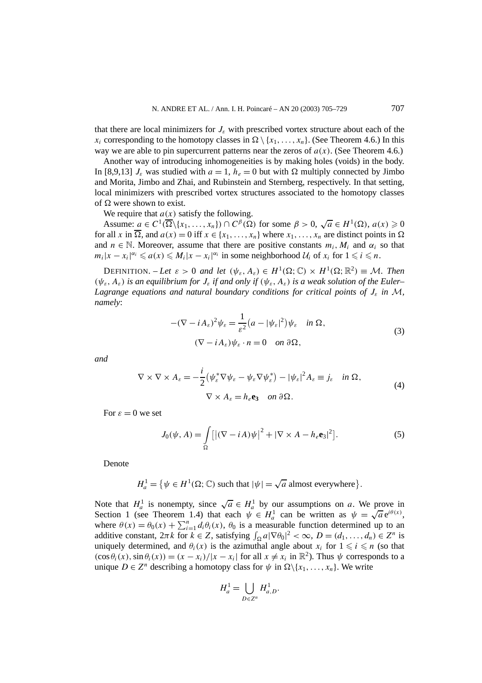that there are local minimizers for *Jε* with prescribed vortex structure about each of the  $x_i$  corresponding to the homotopy classes in  $\Omega \setminus \{x_1, \ldots, x_n\}$ . (See Theorem 4.6.) In this way we are able to pin supercurrent patterns near the zeros of  $a(x)$ . (See Theorem 4.6.)

Another way of introducing inhomogeneities is by making holes (voids) in the body. In [8,9,13]  $J_{\varepsilon}$  was studied with  $a = 1$ ,  $h_e = 0$  but with  $\Omega$  multiply connected by Jimbo and Morita, Jimbo and Zhai, and Rubinstein and Sternberg, respectively. In that setting, local minimizers with prescribed vortex structures associated to the homotopy classes of  $\Omega$  were shown to exist.

We require that  $a(x)$  satisfy the following.

Assume:  $a \in C^1(\overline{\Omega}\setminus\{x_1,\ldots,x_n\}) \cap C^\beta(\Omega)$  for some  $\beta > 0$ ,  $\sqrt{a} \in H^1(\Omega), a(x) \geq 0$ for all *x* in  $\overline{\Omega}$ , and  $a(x) = 0$  iff  $x \in \{x_1, \ldots, x_n\}$  where  $x_1, \ldots, x_n$  are distinct points in  $\Omega$ and  $n \in \mathbb{N}$ . Moreover, assume that there are positive constants  $m_i, M_i$  and  $\alpha_i$  so that  $m_i|x - x_i|^{\alpha_i} \le a(x) \le M_i|x - x_i|^{\alpha_i}$  in some neighborhood  $\mathcal{U}_i$  of  $x_i$  for  $1 \le i \le n$ .

DEFINITION. – Let  $\varepsilon > 0$  and let  $(\psi_{\varepsilon}, A_{\varepsilon}) \in H^1(\Omega; \mathbb{C}) \times H^1(\Omega; \mathbb{R}^2) \equiv \mathcal{M}$ . Then *(ψε, Aε) is an equilibrium for Jε if and only if (ψε, Aε) is a weak solution of the Euler– Lagrange equations and natural boundary conditions for critical points of*  $J_{\varepsilon}$  *in*  $\mathcal{M}$ *, namely*:

$$
-(\nabla - i A_{\varepsilon})^2 \psi_{\varepsilon} = \frac{1}{\varepsilon^2} (a - |\psi_{\varepsilon}|^2) \psi_{\varepsilon} \quad \text{in } \Omega,
$$
  

$$
(\nabla - i A_{\varepsilon}) \psi_{\varepsilon} \cdot n = 0 \quad \text{on } \partial \Omega,
$$
 (3)

*and*

$$
\nabla \times \nabla \times A_{\varepsilon} = -\frac{i}{2} \left( \psi_{\varepsilon}^* \nabla \psi_{\varepsilon} - \psi_{\varepsilon} \nabla \psi_{\varepsilon}^* \right) - |\psi_{\varepsilon}|^2 A_{\varepsilon} \equiv j_{\varepsilon} \quad \text{in } \Omega,
$$
  
\n
$$
\nabla \times A_{\varepsilon} = h_{\varepsilon} \mathbf{e}_3 \quad \text{on } \partial \Omega.
$$
 (4)

For  $\varepsilon = 0$  we set

$$
J_0(\psi, A) = \int_{\Omega} \left[ \left| (\nabla - i A) \psi \right|^2 + \left| \nabla \times A - h_e \mathbf{e}_3 \right|^2 \right]. \tag{5}
$$

Denote

 $H_a^1 = \{ \psi \in H^1(\Omega; \mathbb{C}) \text{ such that } |\psi| = \sqrt{a} \text{ almost everywhere} \}$ *.*

Note that  $H_a^1$  is nonempty, since  $\sqrt{a} \in H_a^1$  by our assumptions on *a*. We prove in Note that  $H_a$  is nonempty, since  $\sqrt{a} \in H_a$  by our assumptions on *a*. We prove in<br>Section 1 (see Theorem 1.4) that each  $\psi \in H_a^1$  can be written as  $\psi = \sqrt{a} e^{i\theta(x)}$ , where  $\theta(x) = \theta_0(x) + \sum_{i=1}^n d_i \theta_i(x)$ ,  $\theta_0$  is a measurable function determined up to an additive constant,  $2\pi k$  for  $k \in \mathbb{Z}$ , satisfying  $\int_{\Omega} a |\nabla \theta_0|^2 < \infty$ ,  $D = (d_1, \ldots, d_n) \in \mathbb{Z}^n$  is uniquely determined, and  $\theta_i(x)$  is the azimuthal angle about  $x_i$  for  $1 \leq i \leq n$  (so that  $(\cos \theta_i(x), \sin \theta_i(x)) = (x - x_i)/|x - x_i|$  for all  $x \neq x_i$  in  $\mathbb{R}^2$ ). Thus  $\psi$  corresponds to a unique  $D \in \mathbb{Z}^n$  describing a homotopy class for  $\psi$  in  $\Omega \setminus \{x_1, \ldots, x_n\}$ . We write

$$
H_a^1 = \bigcup_{D \in \mathbb{Z}^n} H_{a,D}^1.
$$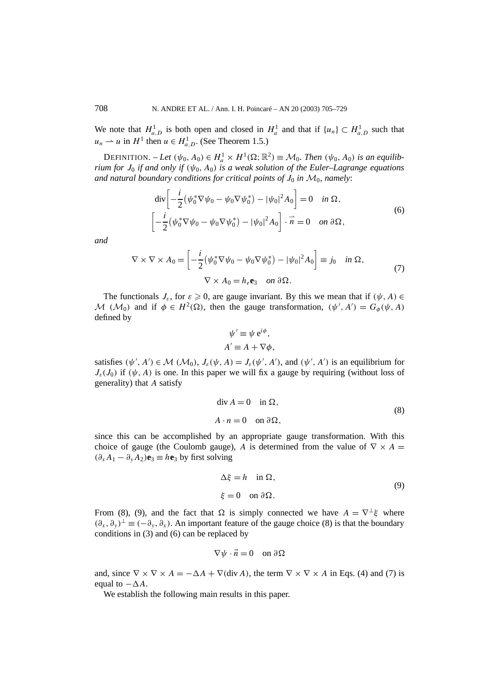We note that  $H_{a,D}^1$  is both open and closed in  $H_a^1$  and that if  $\{u_n\} \subset H_{a,D}^1$  such that  $u_n \rightharpoonup u$  in  $H^1$  then  $u \in H^1_{a,D}$ . (See Theorem 1.5.)

DEFINITION.  $-$  *Let*  $(\psi_0, A_0) \in H_a^1 \times H^1(\Omega; \mathbb{R}^2) \equiv \mathcal{M}_0$ *. Then*  $(\psi_0, A_0)$  *is an equilibrium for*  $J_0$  *if and only if*  $(\psi_0, A_0)$  *is a weak solution of the Euler–Lagrange equations* and natural boundary conditions for critical points of  $J_0$  in  $\mathcal{M}_0$ , namely:

$$
\operatorname{div}\left[-\frac{i}{2}(\psi_0^*\nabla\psi_0 - \psi_0\nabla\psi_0^*) - |\psi_0|^2 A_0\right] = 0 \quad \text{in } \Omega,
$$
  

$$
\left[-\frac{i}{2}(\psi_0^*\nabla\psi_0 - \psi_0\nabla\psi_0^*) - |\psi_0|^2 A_0\right] \cdot \vec{n} = 0 \quad \text{on } \partial\Omega,
$$
 (6)

*and*

$$
\nabla \times \nabla \times A_0 = \left[ -\frac{i}{2} (\psi_0^* \nabla \psi_0 - \psi_0 \nabla \psi_0^*) - |\psi_0|^2 A_0 \right] \equiv j_0 \quad \text{in } \Omega,
$$
  

$$
\nabla \times A_0 = h_e \mathbf{e}_3 \quad \text{on } \partial \Omega.
$$
 (7)

The functionals  $J_{\varepsilon}$ , for  $\varepsilon \geq 0$ , are gauge invariant. By this we mean that if  $(\psi, A) \in$ M  $(M_0)$  and if  $\phi \in H^2(\Omega)$ , then the gauge transformation,  $(\psi', A') = G_{\phi}(\psi, A)$ defined by

$$
\psi' \equiv \psi e^{i\phi},
$$
  

$$
A' \equiv A + \nabla \phi,
$$

satisfies  $(\psi', A') \in \mathcal{M} (\mathcal{M}_0), J_\varepsilon(\psi, A) = J_\varepsilon(\psi', A')$ , and  $(\psi', A')$  is an equilibrium for  $J_{\varepsilon}(J_0)$  if  $(\psi, A)$  is one. In this paper we will fix a gauge by requiring (without loss of generality) that *A* satisfy

$$
\operatorname{div} A = 0 \quad \text{in } \Omega,
$$
  

$$
A \cdot n = 0 \quad \text{on } \partial \Omega,
$$
 (8)

since this can be accomplished by an appropriate gauge transformation. With this choice of gauge (the Coulomb gauge), *A* is determined from the value of  $\nabla \times A$  $(∂<sub>x</sub>A<sub>1</sub> − ∂<sub>y</sub>A<sub>2</sub>)**e**<sub>3</sub> ≡ h**e**<sub>3</sub> by first solving$ 

$$
\Delta \xi = h \quad \text{in } \Omega,
$$
  
\n
$$
\xi = 0 \quad \text{on } \partial \Omega.
$$
 (9)

From (8), (9), and the fact that  $\Omega$  is simply connected we have  $A = \nabla^{\perp} \xi$  where  $(\partial_x, \partial_y)^\perp \equiv (-\partial_y, \partial_x)$ . An important feature of the gauge choice (8) is that the boundary conditions in (3) and (6) can be replaced by

$$
\nabla \psi \cdot \vec{n} = 0 \quad \text{on } \partial \Omega
$$

and, since  $\nabla \times \nabla \times A = -\Delta A + \nabla(\text{div }A)$ , the term  $\nabla \times \nabla \times A$  in Eqs. (4) and (7) is equal to  $-\Delta A$ .

We establish the following main results in this paper.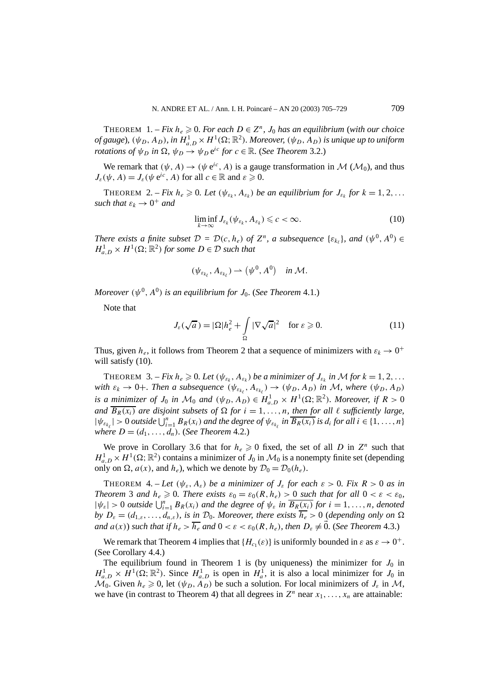THEOREM 1. – *Fix*  $h_e \geq 0$ . For each  $D \in \mathbb{Z}^n$ ,  $J_0$  has an equilibrium (with our choice  $of gauge$ *),*  $(\psi_D, A_D)$ *, in*  $H^1_{a,D} \times H^1(\Omega; \mathbb{R}^2)$ *. Moreover,*  $(\psi_D, A_D)$  *is unique up to uniform rotations of*  $\psi_D$  *in*  $\Omega$ ,  $\psi_D \rightarrow \psi_D e^{ic}$  *for*  $c \in \mathbb{R}$ . (*See Theorem 3.2.*)

We remark that  $(\psi, A) \rightarrow (\psi e^{ic}, A)$  is a gauge transformation in M  $(\mathcal{M}_0)$ , and thus  $J_{\varepsilon}(\psi, A) = J_{\varepsilon}(\psi \, e^{i\epsilon}, A)$  for all  $c \in \mathbb{R}$  and  $\varepsilon \geq 0$ .

THEOREM 2. – *Fix*  $h_e \geq 0$ . Let  $(\psi_{\varepsilon_k}, A_{\varepsilon_k})$  be an equilibrium for  $J_{\varepsilon_k}$  for  $k = 1, 2, \ldots$ *such that*  $\varepsilon_k \to 0^+$  *and* 

$$
\liminf_{k \to \infty} J_{\varepsilon_k}(\psi_{\varepsilon_k}, A_{\varepsilon_k}) \leqslant c < \infty. \tag{10}
$$

*There exists a finite subset*  $D = D(c, h_e)$  *of*  $Z^n$ *, a subsequence*  $\{\varepsilon_{k_f}\}\$ *, and*  $(\psi^0, A^0) \in$  $H_{a,D}^1 \times H^1(\Omega; \mathbb{R}^2)$  *for some*  $D \in \mathcal{D}$  *such that* 

$$
(\psi_{\varepsilon_{k_\ell}}, A_{\varepsilon_{k_\ell}}) \rightharpoonup (\psi^0, A^0) \quad \text{in } \mathcal{M}.
$$

*Moreover*  $(\psi^0, A^0)$  *is an equilibrium for*  $J_0$ *. (See Theorem 4.1.)* 

Note that

$$
J_{\varepsilon}(\sqrt{a}) = |\Omega| h_{e}^{2} + \int_{\Omega} |\nabla \sqrt{a}|^{2} \quad \text{for } \varepsilon \geqslant 0.
$$
 (11)

Thus, given  $h_e$ , it follows from Theorem 2 that a sequence of minimizers with  $\varepsilon_k \to 0^+$ will satisfy  $(10)$ .

**THEOREM** 3. – *Fix*  $h_e \ge 0$ *. Let*  $(\psi_{\varepsilon_k}, A_{\varepsilon_k})$  *be a minimizer of*  $J_{\varepsilon_k}$  *in* M for  $k = 1, 2, ...$ *with*  $\varepsilon_k \to 0+$ *. Then a subsequence*  $(\psi_{\varepsilon_{k_\ell}}, A_{\varepsilon_{k_\ell}}) \to (\psi_D, A_D)$  *in M*, where  $(\psi_D, A_D)$ *is a minimizer of*  $J_0$  *in*  $\mathcal{M}_0$  *and*  $(\psi_D, A_D) \in H_{a,D}^1 \times H^1(\Omega; \mathbb{R}^2)$ *. Moreover, if*  $R > 0$ *and*  $\overline{B_R(x_i)}$  *are disjoint subsets of*  $\Omega$  *for*  $i = 1, \ldots, n$ *, then for all*  $\ell$  *sufficiently large,*  $|\psi_{\varepsilon_{k_{\ell}}}| > 0$  *outside*  $\bigcup_{i=1}^{n} B_{R}(x_i)$  *and the degree of*  $\psi_{\varepsilon_{k_{\ell}}}$  *in*  $\overline{B_{R}(x_i)}$  *is d<sub>i</sub> for all*  $i \in \{1, \ldots, n\}$ *where*  $D = (d_1, \ldots, d_n)$ *.* (*See Theorem* 4.2*.*)

We prove in Corollary 3.6 that for  $h_e \ge 0$  fixed, the set of all *D* in  $Z^n$  such that  $H_{a,D}^1 \times H^1(\Omega;\mathbb{R}^2)$  contains a minimizer of  $J_0$  in  $\mathcal{M}_0$  is a nonempty finite set (depending only on  $\Omega$ ,  $a(x)$ , and  $h_e$ ), which we denote by  $\mathcal{D}_0 = \mathcal{D}_0(h_e)$ .

THEOREM 4. – Let  $(\psi_{\varepsilon}, A_{\varepsilon})$  be a minimizer of  $J_{\varepsilon}$  for each  $\varepsilon > 0$ . Fix  $R > 0$  as in *Theorem* 3 *and*  $h_e \ge 0$ *. There exists*  $\varepsilon_0 = \varepsilon_0(R, h_e) > 0$  *such that for all*  $0 < \varepsilon < \varepsilon_0$ *,*  $|\psi_{\varepsilon}| > 0$  *outside*  $\bigcup_{i=1}^{n} B_{R}(x_i)$  *and the degree of*  $\psi_{\varepsilon}$  *in*  $\overline{B_{R}(x_i)}$  *for*  $i = 1, ..., n$ *, denoted by*  $D_{\varepsilon} = (d_{1,\varepsilon}, \ldots, d_{n,\varepsilon})$ *, is in*  $\mathcal{D}_0$ *. Moreover, there exists*  $\overline{h_{\varepsilon}} > 0$  (*depending only on*  $\Omega$ *and*  $a(x)$ *) such that if*  $h_e > \overline{h_e}$  *and*  $0 < \varepsilon < \varepsilon_0(R, h_e)$ *, then*  $D_\varepsilon \neq 0$ *.* (*See Theorem* 4.3.*)* 

We remark that Theorem 4 implies that  ${H_{c_1}(\varepsilon)}$  is uniformly bounded in  $\varepsilon$  as  $\varepsilon \to 0^+$ . (See Corollary 4.4.)

The equilibrium found in Theorem 1 is (by uniqueness) the minimizer for  $J_0$  in  $H_{a,D}^1 \times H^1(\Omega;\mathbb{R}^2)$ . Since  $H_{a,D}^1$  is open in  $H_a^1$ , it is also a local minimizer for *J*<sub>0</sub> in  $M_0$ . Given  $h_e \geq 0$ , let  $(\psi_D, A_D)$  be such a solution. For local minimizers of  $J_\varepsilon$  in M, we have (in contrast to Theorem 4) that all degrees in  $Z^n$  near  $x_1, \ldots, x_n$  are attainable: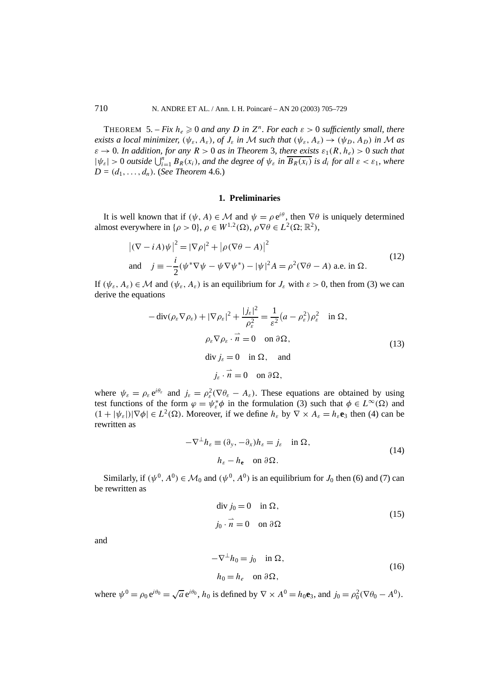THEOREM 5. – *Fix*  $h_e \ge 0$  *and any D in*  $Z^n$ *. For each*  $\varepsilon > 0$  *sufficiently small, there exists a local minimizer,*  $(\psi_{\varepsilon}, A_{\varepsilon})$ *, of*  $J_{\varepsilon}$  *in* M such that  $(\psi_{\varepsilon}, A_{\varepsilon}) \rightarrow (\psi_D, A_D)$  *in* M as  $\varepsilon \to 0$ *. In addition, for any*  $R > 0$  *as in Theorem 3, there exists*  $\varepsilon_1(R, h_e) > 0$  *such that*  $|\psi_{\varepsilon}| > 0$  *outside*  $\bigcup_{i=1}^{n} B_{R}(x_i)$ *, and the degree of*  $\psi_{\varepsilon}$  *in*  $\overline{B_{R}(x_i)}$  *is d<sub>i</sub> for all*  $\varepsilon < \varepsilon_1$ *, where*  $D = (d_1, \ldots, d_n)$ *.* (*See Theorem* 4.6*.*)

#### **1. Preliminaries**

It is well known that if  $(\psi, A) \in \mathcal{M}$  and  $\psi = \rho e^{i\theta}$ , then  $\nabla \theta$  is uniquely determined almost everywhere in  $\{\rho > 0\}$ ,  $\rho \in W^{1,2}(\Omega)$ ,  $\rho \nabla \theta \in L^2(\Omega;\mathbb{R}^2)$ ,

$$
|(\nabla - i\mathbf{A})\psi|^2 = |\nabla \rho|^2 + |\rho(\nabla \theta - \mathbf{A})|^2
$$
  
and 
$$
j \equiv -\frac{i}{2}(\psi^*\nabla \psi - \psi \nabla \psi^*) - |\psi|^2 \mathbf{A} = \rho^2(\nabla \theta - \mathbf{A}) \text{ a.e. in } \Omega.
$$
 (12)

If  $(\psi_{\varepsilon}, A_{\varepsilon}) \in \mathcal{M}$  and  $(\psi_{\varepsilon}, A_{\varepsilon})$  is an equilibrium for  $J_{\varepsilon}$  with  $\varepsilon > 0$ , then from (3) we can derive the equations

$$
-\operatorname{div}(\rho_{\varepsilon} \nabla \rho_{\varepsilon}) + |\nabla \rho_{\varepsilon}|^2 + \frac{|j_{\varepsilon}|^2}{\rho_{\varepsilon}^2} = \frac{1}{\varepsilon^2} (a - \rho_{\varepsilon}^2) \rho_{\varepsilon}^2 \quad \text{in } \Omega,
$$
  
\n
$$
\rho_{\varepsilon} \nabla \rho_{\varepsilon} \cdot \vec{n} = 0 \quad \text{on } \partial \Omega,
$$
  
\n
$$
\operatorname{div} j_{\varepsilon} = 0 \quad \text{in } \Omega, \quad \text{and}
$$
  
\n
$$
j_{\varepsilon} \cdot \vec{n} = 0 \quad \text{on } \partial \Omega,
$$
 (13)

where  $\psi_{\varepsilon} = \rho_{\varepsilon} e^{i\theta_{\varepsilon}}$  and  $j_{\varepsilon} = \rho_{\varepsilon}^2 (\nabla \theta_{\varepsilon} - A_{\varepsilon})$ . These equations are obtained by using test functions of the form  $\varphi = \psi_{\varepsilon}^* \phi$  in the formulation (3) such that  $\phi \in L^{\infty}(\Omega)$  and  $(1 + |\psi_{\varepsilon}|) |\nabla \phi| \in L^2(\Omega)$ . Moreover, if we define  $h_{\varepsilon}$  by  $\nabla \times A_{\varepsilon} = h_{\varepsilon} e_3$  then (4) can be rewritten as

$$
-\nabla^{\perp}h_{\varepsilon} \equiv (\partial_y, -\partial_x)h_{\varepsilon} = j_{\varepsilon} \quad \text{in } \Omega,
$$
  
\n
$$
h_{\varepsilon} - h_{\mathbf{e}} \quad \text{on } \partial\Omega.
$$
 (14)

Similarly, if  $(\psi^0, A^0) \in \mathcal{M}_0$  and  $(\psi^0, A^0)$  is an equilibrium for  $J_0$  then (6) and (7) can be rewritten as

$$
\text{div } j_0 = 0 \quad \text{in } \Omega,
$$
  

$$
j_0 \cdot \vec{n} = 0 \quad \text{on } \partial \Omega
$$
 (15)

and

$$
-\nabla^{\perp}h_0 = j_0 \quad \text{in } \Omega,
$$
  
\n
$$
h_0 = h_e \quad \text{on } \partial\Omega,
$$
\n(16)

where  $\psi^0 = \rho_0 e^{i\theta_0} = \sqrt{a} e^{i\theta_0}$ ,  $h_0$  is defined by  $\nabla \times A^0 = h_0 \mathbf{e}_3$ , and  $j_0 = \rho_0^2 (\nabla \theta_0 - A^0)$ .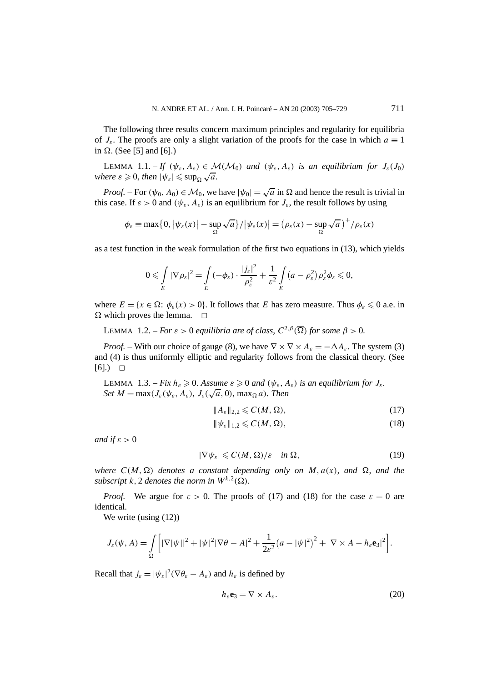The following three results concern maximum principles and regularity for equilibria of  $J_{\varepsilon}$ . The proofs are only a slight variation of the proofs for the case in which  $a \equiv 1$ in  $\Omega$ . (See [5] and [6].)

LEMMA 1.1. – *If*  $(\psi_{\varepsilon}, A_{\varepsilon}) \in \mathcal{M}(\mathcal{M}_0)$  *and*  $(\psi_{\varepsilon}, A_{\varepsilon})$  *is an equilibrium for*  $J_{\varepsilon}(J_0)$ *where*  $\varepsilon \ge 0$ , then  $|\psi_{\varepsilon}| \le \sup_{\Omega} \sqrt{a}$ .

*Proof.* – For  $(\psi_0, A_0) \in \mathcal{M}_0$ , we have  $|\psi_0| = \sqrt{a}$  in  $\Omega$  and hence the result is trivial in this case. If  $\varepsilon > 0$  and  $(\psi_{\varepsilon}, A_{\varepsilon})$  is an equilibrium for  $J_{\varepsilon}$ , the result follows by using

$$
\phi_{\varepsilon} \equiv \max\big\{0, \big|\psi_{\varepsilon}(x)\big| - \sup_{\Omega} \sqrt{a}\big\}/\big|\psi_{\varepsilon}(x)\big| = \big(\rho_{\varepsilon}(x) - \sup_{\Omega} \sqrt{a}\big)^{+}/\rho_{\varepsilon}(x)
$$

as a test function in the weak formulation of the first two equations in (13), which yields

$$
0 \leqslant \int\limits_E |\nabla \rho_\varepsilon|^2 = \int\limits_E (-\phi_\varepsilon) \cdot \frac{|j_\varepsilon|^2}{\rho_\varepsilon^2} + \frac{1}{\varepsilon^2} \int\limits_E (a - \rho_\varepsilon^2) \rho_\varepsilon^2 \phi_\varepsilon \leqslant 0,
$$

where  $E = \{x \in \Omega: \phi_{\varepsilon}(x) > 0\}$ . It follows that *E* has zero measure. Thus  $\phi_{\varepsilon} \leq 0$  a.e. in  $\Omega$  which proves the lemma.  $\square$ 

LEMMA 1.2. – *For*  $\varepsilon > 0$  *equilibria are of class,*  $C^{2,\beta}(\overline{\Omega})$  *for some*  $\beta > 0$ *.* 

*Proof.* – With our choice of gauge (8), we have  $\nabla \times \nabla \times A_{\varepsilon} = -\Delta A_{\varepsilon}$ . The system (3) and (4) is thus uniformly elliptic and regularity follows from the classical theory. (See  $[6]$ .)  $\Box$ 

**LEMMA** 1.3. – *Fix*  $h_e \ge 0$ . Assume  $\varepsilon \ge 0$  and  $(\psi_{\varepsilon}, A_{\varepsilon})$  *is an equilibrium for*  $J_{\varepsilon}$ *. Set*  $M = \max(J_{\varepsilon}(\psi_{\varepsilon}, A_{\varepsilon}), J_{\varepsilon}(\sqrt{a}, 0), \max_{\Omega} a)$ *. Then* 

$$
||A_{\varepsilon}||_{2,2} \leqslant C(M,\Omega),\tag{17}
$$

$$
\|\psi_{\varepsilon}\|_{1,2} \leqslant C(M,\Omega),\tag{18}
$$

*and if*  $\varepsilon > 0$ 

$$
|\nabla \psi_{\varepsilon}| \leqslant C(M,\Omega)/\varepsilon \quad \text{in } \Omega,\tag{19}
$$

where  $C(M, \Omega)$  denotes a constant depending only on M,  $a(x)$ , and  $\Omega$ , and the *subscript k*, 2 *denotes the norm in*  $W^{k,2}(\Omega)$ *.* 

*Proof.* – We argue for  $\varepsilon > 0$ . The proofs of (17) and (18) for the case  $\varepsilon = 0$  are identical.

We write (using  $(12)$ )

$$
J_{\varepsilon}(\psi, A) = \int_{\Omega} \left[ |\nabla |\psi||^2 + |\psi|^2 |\nabla \theta - A|^2 + \frac{1}{2\varepsilon^2} (a - |\psi|^2)^2 + |\nabla \times A - h_{\varepsilon} \mathbf{e}_3|^2 \right].
$$

Recall that  $j_{\varepsilon} = |\psi_{\varepsilon}|^2 (\nabla \theta_{\varepsilon} - A_{\varepsilon})$  and  $h_{\varepsilon}$  is defined by

$$
h_{\varepsilon} \mathbf{e}_3 = \nabla \times A_{\varepsilon}.
$$
 (20)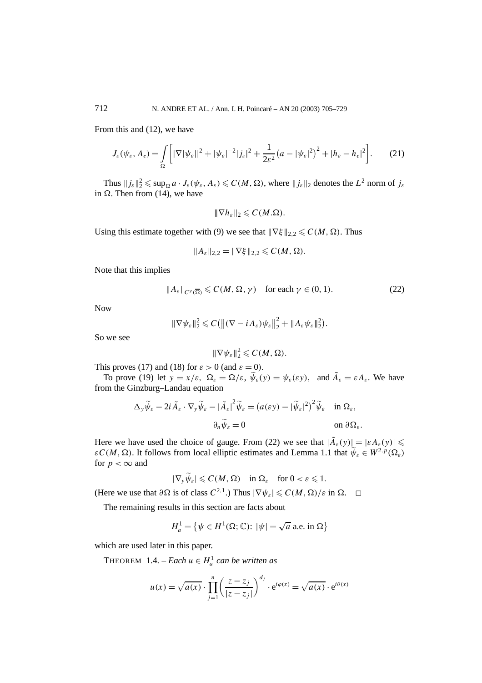From this and (12), we have

$$
J_{\varepsilon}(\psi_{\varepsilon}, A_{e}) = \int_{\Omega} \left[ |\nabla |\psi_{\varepsilon}||^{2} + |\psi_{\varepsilon}|^{-2} |j_{\varepsilon}|^{2} + \frac{1}{2\varepsilon^{2}} (a - |\psi_{\varepsilon}|^{2})^{2} + |h_{\varepsilon} - h_{e}|^{2} \right].
$$
 (21)

Thus  $||j_{\varepsilon}||_2^2 \leqslant \sup_{\Omega} a \cdot J_{\varepsilon}(\psi_{\varepsilon}, A_{\varepsilon}) \leqslant C(M, \Omega)$ , where  $||j_{\varepsilon}||_2$  denotes the  $L^2$  norm of  $j_{\varepsilon}$ in  $\Omega$ . Then from (14), we have

$$
\|\nabla h_{\varepsilon}\|_2 \leqslant C(M.\Omega).
$$

Using this estimate together with (9) we see that  $\|\nabla \xi\|_{2,2} \leq C(M, \Omega)$ . Thus

$$
||A_{\varepsilon}||_{2,2} = ||\nabla \xi||_{2,2} \leqslant C(M,\Omega).
$$

Note that this implies

$$
||A_{\varepsilon}||_{C^{\gamma}(\overline{\Omega})} \leqslant C(M, \Omega, \gamma) \quad \text{for each } \gamma \in (0, 1). \tag{22}
$$

Now

$$
\|\nabla\psi_{\varepsilon}\|_{2}^{2} \leqslant C\big(\big\|(\nabla - i A_{\varepsilon})\psi_{\varepsilon}\big\|_{2}^{2} + \|A_{\varepsilon}\psi_{\varepsilon}\|_{2}^{2}\big).
$$

So we see

$$
\|\nabla\psi_{\varepsilon}\|_{2}^{2} \leqslant C(M,\Omega).
$$

This proves (17) and (18) for  $\varepsilon > 0$  (and  $\varepsilon = 0$ ).

To prove (19) let  $y = x/\varepsilon$ ,  $\Omega_{\varepsilon} = \Omega/\varepsilon$ ,  $\widetilde{\psi}_{\varepsilon}(y) = \psi_{\varepsilon}(\varepsilon y)$ , and  $\widetilde{A}_{\varepsilon} = \varepsilon A_{\varepsilon}$ . We have from the Ginzburg–Landau equation

$$
\Delta_{y}\widetilde{\psi}_{\varepsilon} - 2i \widetilde{A}_{\varepsilon} \cdot \nabla_{y}\widetilde{\psi}_{\varepsilon} - |\widetilde{A}_{\varepsilon}|^{2} \widetilde{\psi}_{\varepsilon} = (a(\varepsilon y) - |\widetilde{\psi}_{\varepsilon}|^{2})^{2} \widetilde{\psi}_{\varepsilon} \quad \text{in } \Omega_{\varepsilon},
$$

$$
\partial_{n}\widetilde{\psi}_{\varepsilon} = 0 \qquad \text{on } \partial\Omega_{\varepsilon}.
$$

Here we have used the choice of gauge. From (22) we see that  $|\tilde{A}_{\varepsilon}(y)| = |\varepsilon A_{\varepsilon}(y)| \leq$ *εC(M,* Ω). It follows from local elliptic estimates and Lemma 1.1 that  $\widetilde{\psi}_{\varepsilon} \in W^{2,p}(\Omega_{\varepsilon})$ for  $p < \infty$  and

$$
|\nabla_y \widetilde{\psi}_{\varepsilon}| \leqslant C(M, \Omega) \quad \text{in } \Omega_{\varepsilon} \quad \text{for } 0 < \varepsilon \leqslant 1.
$$

(Here we use that  $\partial \Omega$  is of class  $C^{2,1}$ .) Thus  $|\nabla \psi_{\varepsilon}| \leqslant C(M, \Omega)/\varepsilon$  in  $\Omega$ .  $\square$ 

The remaining results in this section are facts about

$$
H_a^1 = \{ \psi \in H^1(\Omega; \mathbb{C}) : |\psi| = \sqrt{a} \text{ a.e. in } \Omega \}
$$

which are used later in this paper.

THEOREM  $1.4.$  – *Each*  $u \in H_a^1$  *can be written as* 

$$
u(x) = \sqrt{a(x)} \cdot \prod_{j=1}^{n} \left( \frac{z - z_j}{|z - z_j|} \right)^{d_j} \cdot e^{i\varphi(x)} = \sqrt{a(x)} \cdot e^{i\theta(x)}
$$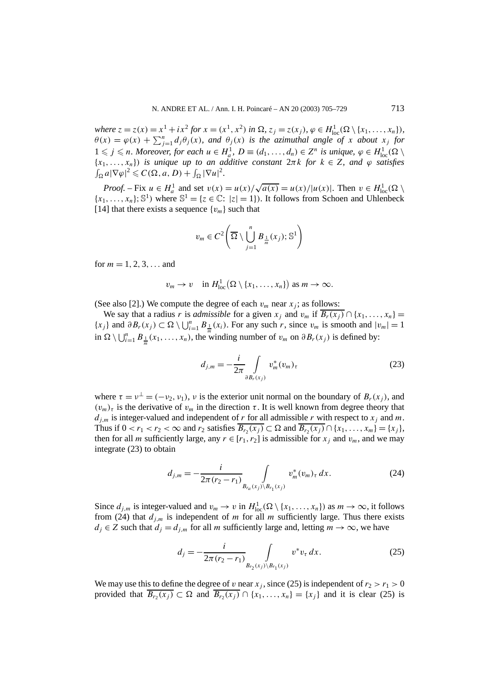where  $z = z(x) = x^1 + ix^2$  for  $x = (x^1, x^2)$  in  $\Omega$ ,  $z_j = z(x_j)$ ,  $\varphi \in H_{loc}^1(\Omega \setminus \{x_1, ..., x_n\})$ ,  $\theta(x) = \varphi(x) + \sum_{j=1}^n d_j \theta_j(x)$ , and  $\theta_j(x)$  is the azimuthal angle of *x* about  $x_j$  for  $1 \leq j \leq n$ . Moreover, for each  $u \in H_a^1$ ,  $D \equiv (d_1, \ldots, d_n) \in Z^n$  is unique,  $\varphi \in H_{loc}^1(\Omega)$ {*x*1*,...,xn*}*) is unique up to an additive constant* 2*πk for k* ∈ *Z, and ϕ satisfies*  $\int_{\Omega} a |\nabla \varphi|^2 \leqslant C(\Omega, a, D) + \int_{\Omega} |\nabla u|^2.$ 

*Proof.* – Fix  $u \in H_a^1$  and set  $v(x) = u(x)/\sqrt{a(x)} = u(x)/|u(x)|$ . Then  $v \in H_{loc}^1(\Omega)$  ${x_1, \ldots, x_n}$ ; S<sup>1</sup>) where  $\mathbb{S}^1 = \{z \in \mathbb{C}: |z| = 1\}$ . It follows from Schoen and Uhlenbeck [14] that there exists a sequence  $\{v_m\}$  such that

$$
v_m \in C^2 \left( \overline{\Omega} \setminus \bigcup_{j=1}^n B_{\frac{1}{m}}(x_j); \mathbb{S}^1 \right)
$$

for  $m = 1, 2, 3, \ldots$  and

$$
v_m \to v \quad \text{in } H^1_{loc}(\Omega \setminus \{x_1, \ldots, x_n\}) \text{ as } m \to \infty.
$$

(See also [2].) We compute the degree of each  $v_m$  near  $x_i$ ; as follows:

We say that a radius *r* is *admissible* for a given  $x_j$  and  $v_m$  if  $\overline{B_r(x_j)} \cap \{x_1, \ldots, x_n\}$  ${x_j}$  and  $∂B_r(x_j) ⊂ ∩ ∪ \bigcup_{i=1}^n B_{\frac{1}{m}}(x_i)$ . For any such *r*, since  $v_m$  is smooth and  $|v_m| = 1$ in  $\Omega \setminus \bigcup_{i=1}^{n} B_{\frac{1}{m}}(x_1, \ldots, x_n)$ , the winding number of  $v_m$  on  $\partial B_r(x_j)$  is defined by:

$$
d_{j,m} = -\frac{i}{2\pi} \int\limits_{\partial B_r(x_j)} v_m^*(v_m)_\tau \tag{23}
$$

where  $\tau = v^{\perp} = (-v_2, v_1)$ , *v* is the exterior unit normal on the boundary of  $B_r(x_j)$ , and  $(v_m)$ <sub>*τ*</sub> is the derivative of  $v_m$  in the direction  $\tau$ . It is well known from degree theory that  $d_{j,m}$  is integer-valued and independent of *r* for all admissible *r* with respect to  $x_j$  and *m*. Thus if  $0 < r_1 < r_2 < \infty$  and  $r_2$  satisfies  $\overline{B_{r_2}(x_j)} \subset \Omega$  and  $\overline{B_{r_2}(x_j)} \cap \{x_1, \ldots, x_m\} = \{x_j\},$ then for all *m* sufficiently large, any  $r \in [r_1, r_2]$  is admissible for  $x_j$  and  $v_m$ , and we may integrate (23) to obtain

$$
d_{j,m} = -\frac{i}{2\pi (r_2 - r_1)} \int_{B_{r_a}(x_j) \setminus B_{r_1}(x_j)} v_m^*(v_m)_\tau \, dx. \tag{24}
$$

Since  $d_{j,m}$  is integer-valued and  $v_m \to v$  in  $H^1_{loc}(\Omega \setminus \{x_1, \ldots, x_n\})$  as  $m \to \infty$ , it follows from (24) that  $d_{j,m}$  is independent of *m* for all *m* sufficiently large. Thus there exists  $d_j \in Z$  such that  $d_j = d_{j,m}$  for all *m* sufficiently large and, letting  $m \to \infty$ , we have

$$
d_j = -\frac{i}{2\pi (r_2 - r_1)} \int_{B_{r_2}(x_j) \setminus B_{r_1}(x_j)} v^* v_\tau dx.
$$
 (25)

We may use this to define the degree of *v* near  $x_j$ , since (25) is independent of  $r_2 > r_1 > 0$ provided that  $\overline{B_r(x_i)} \subset \Omega$  and  $\overline{B_r(x_i)} \cap \{x_1, \ldots, x_n\} = \{x_i\}$  and it is clear (25) is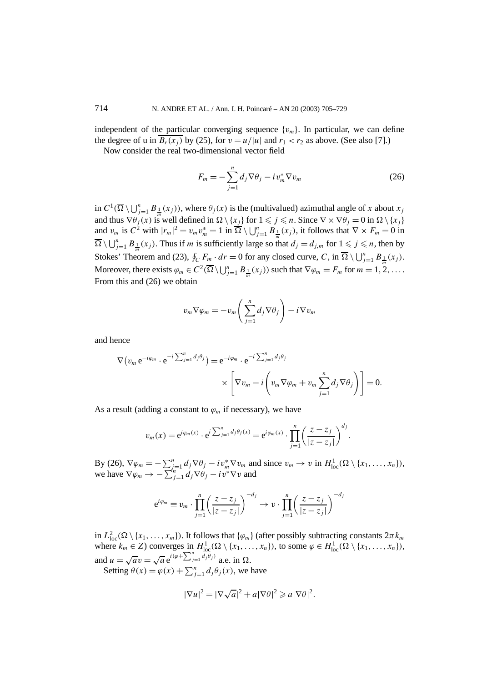independent of the particular converging sequence  $\{v_m\}$ . In particular, we can define the degree of u in  $\overline{B_r(x_i)}$  by (25), for  $v = u/|u|$  and  $r_1 < r_2$  as above. (See also [7].)

Now consider the real two-dimensional vector field

$$
F_m = -\sum_{j=1}^n d_j \nabla \theta_j - i v_m^* \nabla v_m \tag{26}
$$

in  $C^1(\overline{\Omega} \setminus \bigcup_{j=1}^n B_{\frac{1}{m}}(x_j))$ , where  $\theta_j(x)$  is the (multivalued) azimuthal angle of *x* about  $x_j$ and thus  $\nabla \theta_j(x)$  is well defined in  $\Omega \setminus \{x_j\}$  for  $1 \leq j \leq n$ . Since  $\nabla \times \nabla \theta_j = 0$  in  $\Omega \setminus \{x_j\}$ and  $v_m$  is  $C^2$  with  $|r_m|^2 = v_m v_m^* = 1$  in  $\overline{\Omega} \setminus \bigcup_{j=1}^n B_{\frac{1}{m}}(x_j)$ , it follows that  $\nabla \times F_m = 0$  in  $\overline{\Omega} \setminus \bigcup_{j=1}^{n} B_{\frac{1}{m}}(x_j)$ . Thus if *m* is sufficiently large so that  $d_j = d_{j,m}$  for  $1 \leq j \leq n$ , then by Stokes' Theorem and (23),  $\oint_C F_m \cdot dr = 0$  for any closed curve, *C*, in  $\overline{\Omega} \setminus \bigcup_{j=1}^n B_{\frac{1}{m}}(x_j)$ . Moreover, there exists  $\varphi_m \in C^2(\overline{\Omega} \setminus \bigcup_{j=1}^n B_{\frac{1}{m}}(x_j))$  such that  $\nabla \varphi_m = F_m$  for  $m = 1, 2, \ldots$ . From this and (26) we obtain

$$
v_m \nabla \varphi_m = -v_m \left( \sum_{j=1}^n d_j \nabla \theta_j \right) - i \nabla v_m
$$

and hence

$$
\nabla (v_m e^{-i\varphi_m} \cdot e^{-i\sum_{j=1}^n d_j \theta_j}) = e^{-i\varphi_m} \cdot e^{-i\sum_{j=1}^n d_j \theta_j}
$$

$$
\times \left[ \nabla v_m - i \left( v_m \nabla \varphi_m + v_m \sum_{j=1}^n d_j \nabla \theta_j \right) \right] = 0.
$$

As a result (adding a constant to  $\varphi_m$  if necessary), we have

$$
v_m(x) = e^{i\varphi_m(x)} \cdot e^{i\sum_{j=1}^n d_j \theta_j(x)} = e^{i\varphi_m(x)} \cdot \prod_{j=1}^n \left(\frac{z - z_j}{|z - z_j|}\right)^{d_j}.
$$

By (26),  $\nabla \varphi_m = -\sum_{j=1}^n d_j \nabla \theta_j - i v_m^* \nabla v_m$  and since  $v_m \to v$  in  $H^1_{loc}(\Omega \setminus \{x_1, \ldots, x_n\})$ , we have  $\nabla \varphi_m \to -\sum_{j=1}^n d_j \nabla \theta_j - i v^* \nabla v$  and

$$
e^{i\varphi_m} \equiv v_m \cdot \prod_{j=1}^n \left(\frac{z-z_j}{|z-z_j|}\right)^{-d_j} \to v \cdot \prod_{j=1}^n \left(\frac{z-z_j}{|z-z_j|}\right)^{-d_j}
$$

in  $L^2_{loc}(\Omega \setminus \{x_1, \ldots, x_m\})$ . It follows that  $\{\varphi_m\}$  (after possibly subtracting constants  $2\pi k_m$ where  $k_m \in \mathbb{Z}$ ) converges in  $H_{loc}^1(\Omega \setminus \{x_1, \ldots, x_n\})$ , to some  $\varphi \in H_{loc}^1(\Omega \setminus \{x_1, \ldots, x_n\})$ , and  $u = \sqrt{a}v = \sqrt{a} e^{i(\varphi + \sum_{j=1}^{n} d_j \theta_j)}$  a.e. in  $\Omega$ .

Setting  $\theta(x) = \varphi(x) + \sum_{j=1}^{n} d_j \theta_j(x)$ , we have

$$
|\nabla u|^2 = |\nabla \sqrt{a}|^2 + a|\nabla \theta|^2 \geq a|\nabla \theta|^2.
$$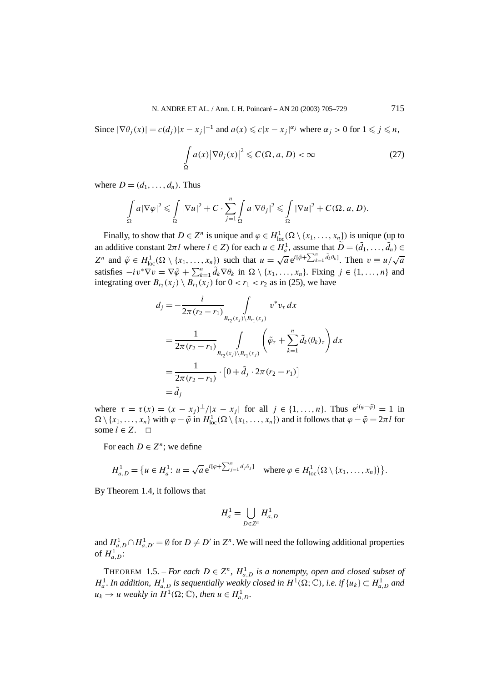Since  $|\nabla \theta_j(x)| = c(d_j)|x - x_j|^{-1}$  and  $a(x) \leq c|x - x_j|^{\alpha_j}$  where  $\alpha_j > 0$  for  $1 \leq j \leq n$ ,

$$
\int_{\Omega} a(x) |\nabla \theta_j(x)|^2 \leqslant C(\Omega, a, D) < \infty \tag{27}
$$

where  $D = (d_1, \ldots, d_n)$ . Thus

$$
\int_{\Omega} a |\nabla \varphi|^2 \leq \int_{\Omega} |\nabla u|^2 + C \cdot \sum_{j=1}^n \int_{\Omega} a |\nabla \theta_j|^2 \leq \int_{\Omega} |\nabla u|^2 + C(\Omega, a, D).
$$

Finally, to show that  $D \in \mathbb{Z}^n$  is unique and  $\varphi \in H^1_{loc}(\Omega \setminus \{x_1, \ldots, x_n\})$  is unique (up to an additive constant  $2\pi l$  where  $l \in \mathbb{Z}$ ) for each  $u \in H_a^1$ , assume that  $\widetilde{D} = (\widetilde{d}_1, \ldots, \widetilde{d}_n) \in$  $Z^n$  and  $\tilde{\varphi} \in H^1_{loc}(\Omega \setminus \{x_1, \ldots, x_n\})$  such that  $u = \sqrt{a} e^{i[\tilde{\varphi} + \sum_{k=1}^n \tilde{d}_k \theta_k]}$ . Then  $v \equiv u/\sqrt{a}$ satisfies  $-i v^* \nabla v = \nabla \tilde{\varphi} + \sum_{k=1}^n \tilde{d}_k \nabla \theta_k$  in  $\Omega \setminus \{x_1, \ldots, x_n\}$ . Fixing  $j \in \{1, \ldots, n\}$  and integrating over  $B_{r_2}(x_i) \setminus B_{r_1}(x_i)$  for  $0 < r_1 < r_2$  as in (25), we have

$$
d_{j} = -\frac{i}{2\pi (r_{2} - r_{1})} \int_{B_{r_{2}}(x_{j}) \setminus B_{r_{1}}(x_{j})} v^{*} v_{\tau} dx
$$
  
\n
$$
= \frac{1}{2\pi (r_{2} - r_{1})} \int_{B_{r_{2}}(x_{j}) \setminus B_{r_{1}}(x_{j})} \left( \tilde{\varphi}_{\tau} + \sum_{k=1}^{n} \tilde{d}_{k}(\theta_{k})_{\tau} \right) dx
$$
  
\n
$$
= \frac{1}{2\pi (r_{2} - r_{1})} \cdot [0 + \tilde{d}_{j} \cdot 2\pi (r_{2} - r_{1})]
$$
  
\n
$$
= \tilde{d}_{j}
$$

where  $\tau = \tau(x) = (x - x_i)^{\perp}/|x - x_i|$  for all  $j \in \{1, ..., n\}$ . Thus  $e^{i(\varphi - \tilde{\varphi})} = 1$  in  $\Omega \setminus \{x_1, \ldots, x_n\}$  with  $\varphi - \tilde{\varphi}$  in  $H^1_{loc}(\Omega \setminus \{x_1, \ldots, x_n\})$  and it follows that  $\varphi - \tilde{\varphi} = 2\pi l$  for some  $l \in Z$ .  $□$ 

For each  $D \in \mathbb{Z}^n$ ; we define

$$
H_{a,D}^1 = \{u \in H_a^1 : u = \sqrt{a} e^{i[\varphi + \sum_{j=1}^n d_j \theta_j]} \text{ where } \varphi \in H_{loc}^1(\Omega \setminus \{x_1, \ldots, x_n\})\}.
$$

By Theorem 1.4, it follows that

$$
H_a^1 = \bigcup_{D \in \mathbb{Z}^n} H_{a,D}^1
$$

and  $H_{a,D}^1 \cap H_{a,D'}^1 = \emptyset$  for  $D \neq D'$  in  $Z^n$ . We will need the following additional properties of  $H_{a,D}^1$ :

THEOREM 1.5. – *For each*  $D \in \mathbb{Z}^n$ ,  $H_{a,D}^1$  *is a nonempty, open and closed subset of*  $H_a^1$ . In addition,  $H_{a,D}^1$  is sequentially weakly closed in  $H^1(\Omega;\mathbb{C})$ , i.e. if  $\{u_k\} \subset H_{a,D}^1$  and  $u_k \to u$  weakly in  $H^1(\Omega; \mathbb{C})$ , then  $u \in H^1_{a,D}$ .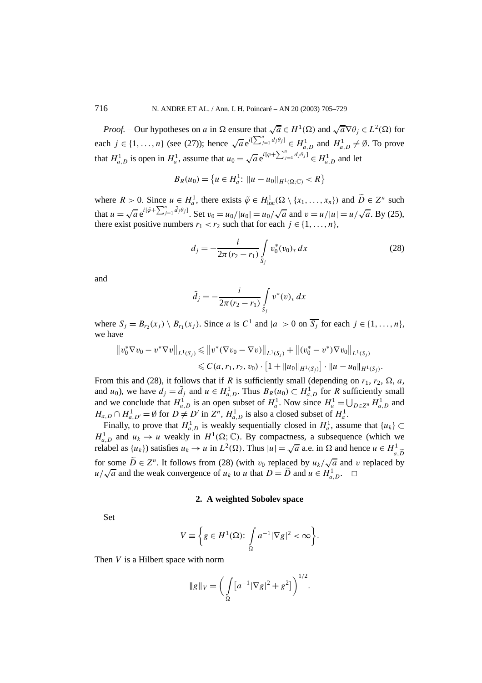*Proof.* – Our hypotheses on *a* in  $\Omega$  ensure that  $\sqrt{a} \in H^1(\Omega)$  and  $\sqrt{a} \nabla \theta_i \in L^2(\Omega)$  for each  $j \in \{1, ..., n\}$  (see (27)); hence  $\sqrt{a} e^{i[\sum_{j=1}^{n} d_j \theta_j]} \in H_{a,D}^1$  and  $H_{a,D}^1 \neq \emptyset$ . To prove that  $H_{a,D}^1$  is open in  $H_a^1$ , assume that  $u_0 = \sqrt{a} e^{i[\varphi + \sum_{j=1}^n d_j \theta_j]} \in H_{a,D}^1$  and let

$$
B_R(u_0) = \{u \in H_a^1: ||u - u_0||_{H^1(\Omega; \mathbb{C})} < R\}
$$

where  $R > 0$ . Since  $u \in H_a^1$ , there exists  $\tilde{\varphi} \in H_{loc}^1(\Omega \setminus \{x_1, \ldots, x_n\})$  and  $\tilde{D} \in Z^n$  such that  $u = \sqrt{a} e^{i[\tilde{\varphi} + \sum_{j=1}^{n} \tilde{d}_j \theta_j]}$ . Set  $v_0 = u_0/|u_0| = u_0/\sqrt{a}$  and  $v = u/|u| = u/\sqrt{a}$ . By (25), there exist positive numbers  $r_1 < r_2$  such that for each  $j \in \{1, \ldots, n\}$ ,

$$
d_j = -\frac{i}{2\pi (r_2 - r_1)} \int\limits_{S_j} v_0^*(v_0)_\tau \, dx \tag{28}
$$

and

$$
\tilde{d}_j = -\frac{i}{2\pi (r_2 - r_1)} \int\limits_{S_j} v^*(v)_\tau \, dx
$$

where  $S_i = B_{r_2}(x_i) \setminus B_{r_1}(x_i)$ . Since *a* is  $C^1$  and  $|a| > 0$  on  $\overline{S_i}$  for each  $j \in \{1, ..., n\}$ , we have

$$
||v_0^*\nabla v_0 - v^*\nabla v||_{L^1(S_j)} \le ||v^*(\nabla v_0 - \nabla v)||_{L^1(S_j)} + ||(v_0^* - v^*)\nabla v_0||_{L^1(S_j)}\le C(a, r_1, r_2, v_0) \cdot [1 + ||u_0||_{H^1(S_j)}] \cdot ||u - u_0||_{H^1(S_j)}.
$$

From this and (28), it follows that if *R* is sufficiently small (depending on  $r_1$ ,  $r_2$ ,  $\Omega$ , *a*, and *u*<sub>0</sub>), we have  $d_j = \tilde{d}_j$  and  $u \in H_{a,D}^1$ . Thus  $B_R(u_0) \subset H_{a,D}^1$  for *R* sufficiently small and we conclude that  $H_{a,D}^1$  is an open subset of  $H_a^1$ . Now since  $H_a^1 = \bigcup_{D \in \mathbb{Z}^n} H_{a,D}^1$  and  $H_{a,D} \cap H_{a,D'}^1 = \emptyset$  for  $D \neq D'$  in  $Z^n$ ,  $H_{a,D}^1$  is also a closed subset of  $H_a^1$ .

Finally, to prove that  $H_{a,D}^1$  is weakly sequentially closed in  $H_a^1$ , assume that  $\{u_k\} \subset$  $H_{a,D}^1$  and  $u_k \to u$  weakly in  $H^1(\Omega; \mathbb{C})$ . By compactness, a subsequence (which we relabel as  $\{u_k\}$  satisfies  $u_k \to u$  in  $L^2(\Omega)$ . Thus  $|u| = \sqrt{a}$  a.e. in  $\Omega$  and hence  $u \in H^1_{\sigma, \Omega}$ *a,D* for some  $\widetilde{D} \in Z^n$ . It follows from (28) (with  $v_0$  replaced by  $u_k/\sqrt{a}$  and *v* replaced by *u*/ $\sqrt{a}$  and the weak convergence of *u<sub>k</sub>* to *u* that  $D = \tilde{D}$  and  $u \in H_{a,D}^1$ .  $\square$ 

## **2. A weighted Sobolev space**

Set

$$
V \equiv \bigg\{ g \in H^1(\Omega) : \int_{\Omega} a^{-1} |\nabla g|^2 < \infty \bigg\}.
$$

Then *V* is a Hilbert space with norm

$$
\|g\|_V = \bigg(\int\limits_{\Omega} [a^{-1}|\nabla g|^2 + g^2]\bigg)^{1/2}.
$$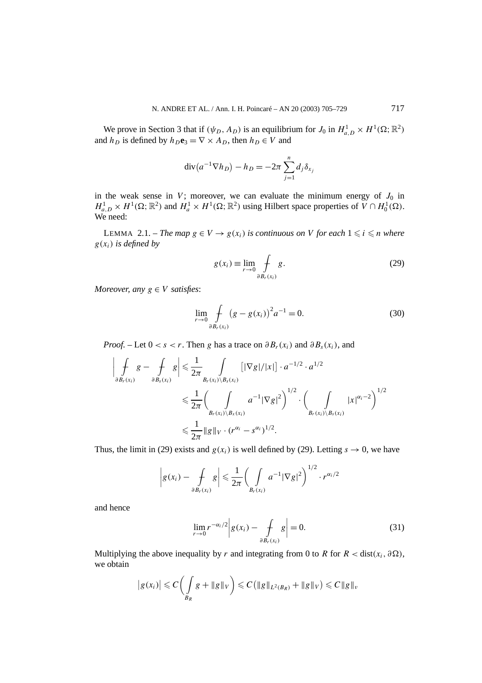We prove in Section 3 that if  $(\psi_D, A_D)$  is an equilibrium for  $J_0$  in  $H^1_{a,D} \times H^1(\Omega; \mathbb{R}^2)$ and *h<sub>D</sub>* is defined by  $h_D \mathbf{e}_3 = \nabla \times A_D$ , then  $h_D \in V$  and

$$
\operatorname{div}(a^{-1}\nabla h_D) - h_D = -2\pi \sum_{j=1}^n d_j \delta_{x_j}
$$

in the weak sense in *V*; moreover, we can evaluate the minimum energy of  $J_0$  in  $H_{a,D}^1 \times H^1(\Omega; \mathbb{R}^2)$  and  $H_a^1 \times H^1(\Omega; \mathbb{R}^2)$  using Hilbert space properties of  $V \cap H_0^1(\Omega)$ . We need:

LEMMA 2.1. – *The map*  $g \in V \rightarrow g(x_i)$  *is continuous on V for each*  $1 \leq i \leq n$  *where g(xi) is defined by*

$$
g(x_i) \equiv \lim_{r \to 0} \int_{\partial B_r(x_i)} g.
$$
 (29)

*Moreover, any*  $g \in V$  *satisfies:* 

$$
\lim_{r \to 0} \int\limits_{\partial B_r(x_i)} (g - g(x_i))^2 a^{-1} = 0.
$$
\n(30)

*Proof.* – Let  $0 < s < r$ . Then *g* has a trace on  $\partial B_r(x_i)$  and  $\partial B_s(x_i)$ , and

$$
\left| \int_{\partial B_r(x_i)} g - \int_{\partial B_s(x_i)} g \right| \leq \frac{1}{2\pi} \int_{B_r(x_i) \setminus B_s(x_i)} \left[ |\nabla g| / |x| \right] \cdot a^{-1/2} \cdot a^{1/2}
$$
\n
$$
\leq \frac{1}{2\pi} \left( \int_{B_r(x_i) \setminus B_x(x_i)} a^{-1} |\nabla g|^2 \right)^{1/2} \cdot \left( \int_{B_r(x_i) \setminus B_s(x_i)} |x|^{\alpha_i - 2} \right)^{1/2}
$$
\n
$$
\leq \frac{1}{2\pi} \|g\|_V \cdot (r^{\alpha_i} - s^{\alpha_i})^{1/2}.
$$

Thus, the limit in (29) exists and  $g(x_i)$  is well defined by (29). Letting  $s \to 0$ , we have

$$
\left| g(x_i) - \int\limits_{\partial B_r(x_i)} g \right| \leq \frac{1}{2\pi} \bigg( \int\limits_{B_r(x_i)} a^{-1} |\nabla g|^2 \bigg)^{1/2} \cdot r^{\alpha_i/2}
$$

and hence

$$
\lim_{r \to 0} r^{-\alpha_i/2} \bigg| g(x_i) - \int_{\partial B_r(x_i)} g \bigg| = 0. \tag{31}
$$

Multiplying the above inequality by *r* and integrating from 0 to *R* for  $R < \text{dist}(x_i, \partial \Omega)$ , we obtain

$$
|g(x_i)| \leqslant C \bigg(\int\limits_{B_R} g + \|g\|_V\bigg) \leqslant C \big(\|g\|_{L^2(B_R)} + \|g\|_V\big) \leqslant C \|g\|_v
$$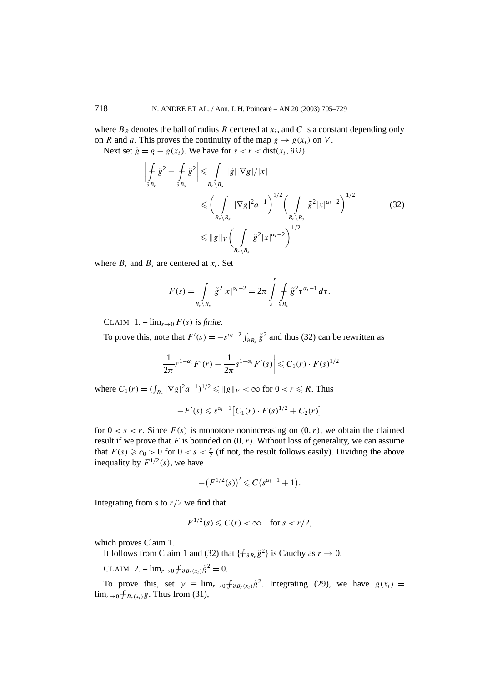where  $B_R$  denotes the ball of radius R centered at  $x_i$ , and C is a constant depending only on *R* and *a*. This proves the continuity of the map  $g \to g(x_i)$  on *V*.

Next set  $\tilde{g} = g - g(x_i)$ . We have for  $s < r <$  dist $(x_i, \partial \Omega)$ 

$$
\left| \int_{\partial B_r} \tilde{g}^2 - \int_{\partial B_s} \tilde{g}^2 \right| \leq \int_{B_r \setminus B_s} |\tilde{g}| |\nabla g| / |x|
$$
\n
$$
\leq \left( \int_{B_r \setminus B_s} |\nabla g|^2 a^{-1} \right)^{1/2} \left( \int_{B_r \setminus B_s} \tilde{g}^2 |x|^{\alpha - 2} \right)^{1/2}
$$
\n
$$
\leq \|g\|_{V} \left( \int_{B_r \setminus B_s} \tilde{g}^2 |x|^{\alpha - 2} \right)^{1/2}
$$
\n(32)

where  $B_r$  and  $B_s$  are centered at  $x_i$ . Set

$$
F(s) = \int\limits_{B_r \backslash B_s} \tilde{g}^2 |x|^{\alpha_i - 2} = 2\pi \int\limits_{s}^r \int\limits_{\partial B_{\tau}} \tilde{g}^2 \tau^{\alpha_i - 1} d\tau.
$$

CLAIM  $1. - \lim_{s \to 0} F(s)$  *is finite.* 

To prove this, note that  $F'(s) = -s^{\alpha_i - 2} \int_{\partial B_s} \tilde{g}^2$  and thus (32) can be rewritten as

$$
\left|\frac{1}{2\pi}r^{1-\alpha_i}F'(r)-\frac{1}{2\pi}s^{1-\alpha_i}F'(s)\right|\leqslant C_1(r)\cdot F(s)^{1/2}
$$

where  $C_1(r) = (\int_{B_r} |\nabla g|^2 a^{-1})^{1/2} \leq \|g\|_V < \infty$  for  $0 < r \leq R$ . Thus

$$
-F'(s) \leq s^{\alpha_i-1} \big[ C_1(r) \cdot F(s)^{1/2} + C_2(r) \big]
$$

for  $0 < s < r$ . Since  $F(s)$  is monotone nonincreasing on  $(0, r)$ , we obtain the claimed result if we prove that *F* is bounded on *(*0*,r)*. Without loss of generality, we can assume that  $F(s) \ge c_0 > 0$  for  $0 < s < \frac{r}{2}$  (if not, the result follows easily). Dividing the above inequality by  $F^{1/2}(s)$ , we have

$$
-(F^{1/2}(s))' \leq C (s^{\alpha_i-1}+1).
$$

Integrating from s to *r/*2 we find that

$$
F^{1/2}(s) \leqslant C(r) < \infty \quad \text{for } s < r/2,
$$

which proves Claim 1.

It follows from Claim 1 and (32) that  $\{\hat{\tau}_{\partial B_r} \tilde{g}^2\}$  is Cauchy as  $r \to 0$ .

 $CLAIM \ 2. - lim_{r \to 0} f_{\partial B_r(x_i)} \tilde{g}^2 = 0.$ 

To prove this, set  $\gamma = \lim_{r \to 0} \int_{\partial B_r(x_i)} \tilde{g}^2$ . Integrating (29), we have  $g(x_i)$  =  $\lim_{r\to 0} \oint B_r(x_i)g$ . Thus from (31),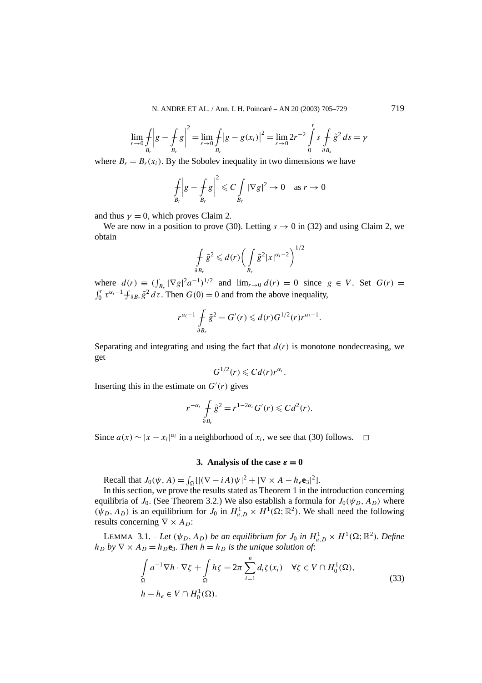$$
\lim_{r \to 0} \int_{B_r} \left| g - \int_{B_r} g \right|^2 = \lim_{r \to 0} \int_{B_r} \left| g - g(x_i) \right|^2 = \lim_{r \to 0} 2r^{-2} \int_{0}^{r} s \int_{\partial B_s} \tilde{g}^2 ds = \gamma
$$

where  $B_r = B_r(x_i)$ . By the Sobolev inequality in two dimensions we have

$$
\int_{B_r} \left| g - \int_{B_r} g \right|^2 \leqslant C \int_{B_r} |\nabla g|^2 \to 0 \quad \text{as } r \to 0
$$

and thus  $\gamma = 0$ , which proves Claim 2.

We are now in a position to prove (30). Letting  $s \to 0$  in (32) and using Claim 2, we obtain

$$
\oint_{\partial B_r} \tilde{g}^2 \leq d(r) \left( \int_{B_r} \tilde{g}^2 |x|^{\alpha_i - 2} \right)^{1/2}
$$

where  $d(r) \equiv (\int_{B_r} |\nabla g|^2 a^{-1})^{1/2}$  and  $\lim_{r \to 0} d(r) = 0$  since  $g \in V$ . Set  $G(r) =$  $\int_0^r \tau^{\alpha_i-1} \int \tau \partial B_\tau \tilde{g}^2 d\tau$ . Then  $G(0) = 0$  and from the above inequality,

$$
r^{\alpha_i-1}\int\limits_{\partial B_r} \tilde{g}^2=G'(r)\leqslant d(r)G^{1/2}(r)r^{\alpha_i-1}.
$$

Separating and integrating and using the fact that  $d(r)$  is monotone nondecreasing, we get

$$
G^{1/2}(r)\leqslant C d(r)r^{\alpha_i}.
$$

Inserting this in the estimate on  $G'(r)$  gives

$$
r^{-\alpha_i} \int\limits_{\partial B_r} \tilde{g}^2 = r^{1-2\alpha_i} G'(r) \leqslant C d^2(r).
$$

Since  $a(x) \sim |x - x_i|^{\alpha_i}$  in a neighborhood of  $x_i$ , we see that (30) follows.  $\Box$ 

# **3.** Analysis of the case  $\varepsilon = 0$

Recall that  $J_0(\psi, A) = \int_{\Omega} [|\nabla - iA\rangle \psi|^2 + |\nabla \times A - h_e \mathbf{e}_3|^2].$ 

In this section, we prove the results stated as Theorem 1 in the introduction concerning equilibria of *J*<sub>0</sub>. (See Theorem 3.2.) We also establish a formula for  $J_0(\psi_D, A_D)$  where  $(\psi_D, A_D)$  is an equilibrium for  $J_0$  in  $H^1_{a,D} \times H^1(\Omega; \mathbb{R}^2)$ . We shall need the following results concerning  $\nabla \times A_D$ :

LEMMA 3.1. – Let  $(\psi_D, A_D)$  be an equilibrium for  $J_0$  in  $H_{a,D}^1 \times H^1(\Omega; \mathbb{R}^2)$ . Define  $h_D$  *by*  $\nabla \times A_D = h_D \mathbf{e}_3$ *. Then*  $h = h_D$  *is the unique solution of:* 

$$
\int_{\Omega} a^{-1} \nabla h \cdot \nabla \zeta + \int_{\Omega} h \zeta = 2\pi \sum_{i=1}^{n} d_i \zeta(x_i) \quad \forall \zeta \in V \cap H_0^1(\Omega),
$$
\n
$$
h - h_e \in V \cap H_0^1(\Omega).
$$
\n(33)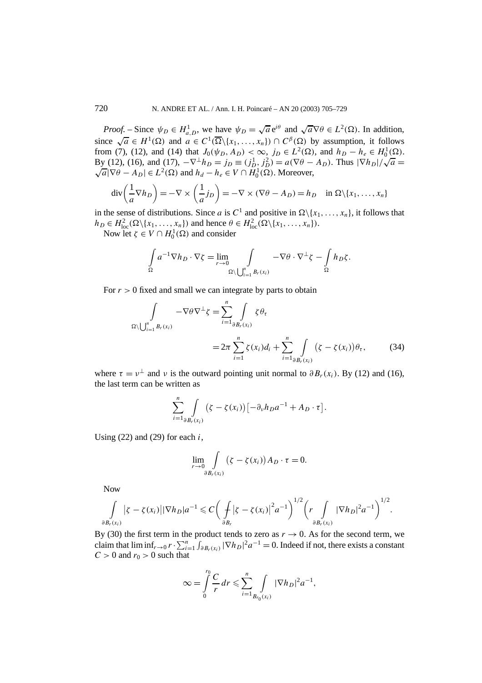*Proof.* – Since  $\psi_D \in H_{a,D}^1$ , we have  $\psi_D = \sqrt{a} e^{i\theta}$  and  $\sqrt{a} \nabla \theta \in L^2(\Omega)$ . In addition, since  $\sqrt{a} \in H^1(\Omega)$  and  $a \in C^1(\overline{\Omega} \setminus \{x_1, \ldots, x_n\}) \cap C^\beta(\Omega)$  by assumption, it follows from (7), (12), and (14) that  $J_0(\psi_D, A_D) < \infty$ ,  $j_D \in L^2(\Omega)$ , and  $h_D - h_e \in H_0^1(\Omega)$ . From (*i*), (12), and (14) that  $J_0(\psi_D, A_D) < \infty$ ,  $J_D \in L^2(\Sigma)$ , and  $n_D - n_e \in H_0(\Sigma)$ .<br>By (12), (16), and (17),  $-\nabla^{\perp} h_D = j_D \equiv (j_D^1, j_D^2) = a(\nabla \theta - A_D)$ . Thus  $|\nabla h_D|/\sqrt{a} = \sqrt{a}|\nabla \theta - A_D| \in L^2(\Omega)$  and  $h_d - h_e \in V \cap H_0^1(\Omega)$  $\sqrt{a}|\nabla \theta - A_D| \in L^2(\Omega)$  and  $h_d - h_e \in V \cap H_0^1(\Omega)$ . Moreover,

$$
\operatorname{div}\left(\frac{1}{a}\nabla h_D\right) = -\nabla \times \left(\frac{1}{a}j_D\right) = -\nabla \times (\nabla \theta - A_D) = h_D \quad \text{in } \Omega \setminus \{x_1, \dots, x_n\}
$$

in the sense of distributions. Since *a* is  $C^1$  and positive in  $\Omega \setminus \{x_1, \ldots, x_n\}$ , it follows that  $h_D \in H_{loc}^2(\Omega \setminus \{x_1, \ldots, x_n\})$  and hence  $\theta \in H_{loc}^2(\Omega \setminus \{x_1, \ldots, x_n\})$ .

Now let *ζ* ∈ *V* ∩  $H_0^1$ (Ω) and consider

$$
\int_{\Omega} a^{-1} \nabla h_D \cdot \nabla \zeta = \lim_{r \to 0} \int_{\Omega \setminus \bigcup_{i=1}^n B_r(x_i)} -\nabla \theta \cdot \nabla^{\perp} \zeta - \int_{\Omega} h_D \zeta.
$$

For  $r > 0$  fixed and small we can integrate by parts to obtain

$$
\int_{\Omega \setminus \bigcup_{i=1}^{n} B_{r}(x_{i})} -\nabla \theta \nabla^{\perp} \zeta = \sum_{i=1}^{n} \int_{\partial B_{r}(x_{i})} \zeta \theta_{\tau} \n= 2\pi \sum_{i=1}^{n} \zeta(x_{i}) d_{i} + \sum_{i=1}^{n} \int_{\partial B_{r}(x_{i})} (\zeta - \zeta(x_{i})) \theta_{\tau},
$$
\n(34)

where  $\tau = v^{\perp}$  and *v* is the outward pointing unit normal to  $\partial B_r(x_i)$ . By (12) and (16), the last term can be written as

$$
\sum_{i=1}^n \int\limits_{\partial B_r(x_i)} (\zeta - \zeta(x_i)) \left[ -\partial_\nu h_D a^{-1} + A_D \cdot \tau \right].
$$

Using  $(22)$  and  $(29)$  for each *i*,

$$
\lim_{r \to 0} \int\limits_{\partial B_r(x_i)} (\zeta - \zeta(x_i)) A_D \cdot \tau = 0.
$$

Now

$$
\int_{\partial B_r(x_i)} |\zeta - \zeta(x_i)||\nabla h_D|a^{-1} \leq C \bigg(\int_{\partial B_r} |\zeta - \zeta(x_i)|^2 a^{-1}\bigg)^{1/2} \bigg(r \int_{\partial B_r(x_i)} |\nabla h_D|^2 a^{-1}\bigg)^{1/2}.
$$

By (30) the first term in the product tends to zero as  $r \to 0$ . As for the second term, we claim that  $\liminf_{r\to 0} r \cdot \sum_{i=1}^n \int_{\partial B_r(x_i)} |\nabla h_D|^2 a^{-1} = 0$ . Indeed if not, there exists a constant  $C > 0$  and  $r_0 > 0$  such that

$$
\infty = \int_{0}^{r_0} \frac{C}{r} dr \leqslant \sum_{i=1}^{n} \int_{B_{r_0}(x_i)} |\nabla h_D|^2 a^{-1},
$$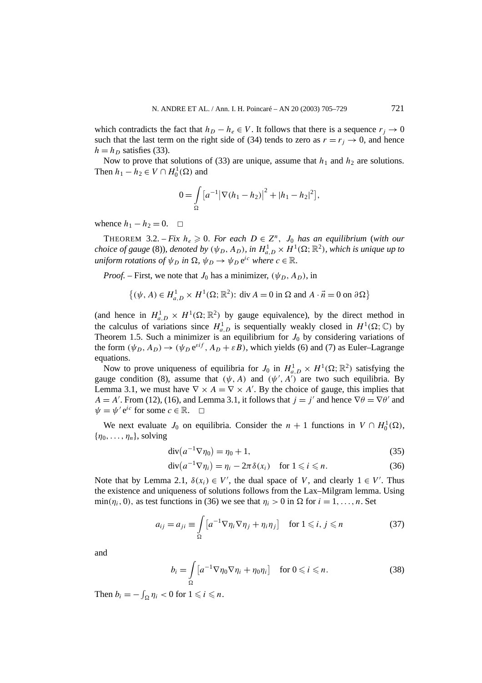which contradicts the fact that  $h_D - h_e \in V$ . It follows that there is a sequence  $r_j \to 0$ such that the last term on the right side of (34) tends to zero as  $r = r_j \rightarrow 0$ , and hence  $h = h_D$  satisfies (33).

Now to prove that solutions of (33) are unique, assume that  $h_1$  and  $h_2$  are solutions. Then  $h_1 - h_2 \in V \cap H_0^1(\Omega)$  and

$$
0 = \int_{\Omega} \left[ a^{-1} |\nabla (h_1 - h_2)|^2 + |h_1 - h_2|^2 \right],
$$

whence  $h_1 - h_2 = 0$ .  $\Box$ 

THEOREM 3.2. – *Fix*  $h_e \geq 0$ . For each  $D \in \mathbb{Z}^n$ ,  $J_0$  has an equilibrium (with our *choice of gauge* (8))*, denoted by*  $(\psi_D, A_D)$ *, in*  $H_{a,D}^1 \times H^1(\Omega; \mathbb{R}^2)$ *, which is unique up to uniform rotations of*  $\psi_D$  *in*  $\Omega$ ,  $\psi_D \rightarrow \psi_D e^{ic}$  *where*  $c \in \mathbb{R}$ *.* 

*Proof.* – First, we note that  $J_0$  has a minimizer,  $(\psi_D, A_D)$ , in

$$
\{(\psi, A) \in H_{a,D}^1 \times H^1(\Omega; \mathbb{R}^2): \text{div } A = 0 \text{ in } \Omega \text{ and } A \cdot \vec{n} = 0 \text{ on } \partial \Omega \}
$$

(and hence in  $H_{a,D}^1 \times H^1(\Omega;\mathbb{R}^2)$  by gauge equivalence), by the direct method in the calculus of variations since  $H_{a,D}^1$  is sequentially weakly closed in  $H^1(\Omega;\mathbb{C})$  by Theorem 1.5. Such a minimizer is an equilibrium for  $J_0$  by considering variations of the form  $(\psi_D, A_D) \rightarrow (\psi_D e^{\varepsilon i f}, A_D + \varepsilon B)$ , which yields (6) and (7) as Euler–Lagrange equations.

Now to prove uniqueness of equilibria for  $J_0$  in  $H_{a,D}^1 \times H^1(\Omega;\mathbb{R}^2)$  satisfying the gauge condition (8), assume that  $(\psi, A)$  and  $(\psi', A')$  are two such equilibria. By Lemma 3.1, we must have  $\nabla \times A = \nabla \times A'$ . By the choice of gauge, this implies that  $A = A'$ . From (12), (16), and Lemma 3.1, it follows that  $j = j'$  and hence  $\nabla \theta = \nabla \theta'$  and  $\psi = \psi' e^{ic}$  for some  $c \in \mathbb{R}$ .  $\square$ 

We next evaluate  $J_0$  on equilibria. Consider the  $n + 1$  functions in  $V \cap H_0^1(\Omega)$ ,  ${\eta_0, \ldots, \eta_n}$ , solving

$$
\operatorname{div}(a^{-1}\nabla \eta_0) = \eta_0 + 1,\tag{35}
$$

$$
\operatorname{div}(a^{-1}\nabla \eta_i) = \eta_i - 2\pi \delta(x_i) \quad \text{for } 1 \leqslant i \leqslant n. \tag{36}
$$

Note that by Lemma 2.1,  $\delta(x_i) \in V'$ , the dual space of *V*, and clearly  $1 \in V'$ . Thus the existence and uniqueness of solutions follows from the Lax–Milgram lemma. Using min( $\eta_i$ , 0), as test functions in (36) we see that  $\eta_i > 0$  in  $\Omega$  for  $i = 1, \ldots, n$ . Set

$$
a_{ij} = a_{ji} \equiv \int_{\Omega} \left[ a^{-1} \nabla \eta_i \nabla \eta_j + \eta_i \eta_j \right] \quad \text{for } 1 \leq i, j \leq n \tag{37}
$$

and

$$
b_i = \int_{\Omega} \left[ a^{-1} \nabla \eta_0 \nabla \eta_i + \eta_0 \eta_i \right] \quad \text{for } 0 \leqslant i \leqslant n. \tag{38}
$$

Then  $b_i = -\int_{\Omega} \eta_i < 0$  for  $1 \leq i \leq n$ .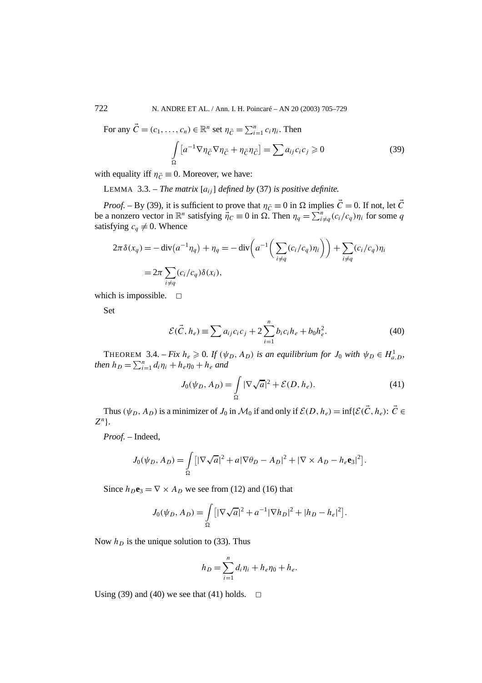For any  $\vec{C} = (c_1, \ldots, c_n) \in \mathbb{R}^n$  set  $\eta_{\vec{C}} = \sum_{i=1}^n c_i \eta_i$ . Then

$$
\int_{\Omega} \left[ a^{-1} \nabla \eta_{\vec{C}} \nabla \eta_{\vec{C}} + \eta_{\vec{C}} \eta_{\vec{C}} \right] = \sum a_{ij} c_i c_j \geq 0 \tag{39}
$$

with equality iff  $\eta_{\vec{C}} \equiv 0$ . Moreover, we have:

LEMMA 3.3. – *The matrix*  $[a_{ij}]$  *defined by* (37) *is positive definite.* 

*Proof.* – By (39), it is sufficient to prove that  $\eta_{\vec{C}} \equiv 0$  in  $\Omega$  implies  $\vec{C} = 0$ . If not, let  $\vec{C}$ be a nonzero vector in  $\mathbb{R}^n$  satisfying  $\overline{\eta}_C \equiv 0$  in  $\Omega$ . Then  $\eta_q = \sum_{i \neq q}^n (c_i/c_q) \eta_i$  for some *q* satisfying  $c_q \neq 0$ . Whence

$$
2\pi \delta(x_q) = -\operatorname{div}(a^{-1}\eta_q) + \eta_q = -\operatorname{div}\left(a^{-1}\left(\sum_{i\neq q} (c_i/c_q)\eta_i\right)\right) + \sum_{i\neq q} (c_i/c_q)\eta_i
$$

$$
= 2\pi \sum_{i\neq q} (c_i/c_q)\delta(x_i),
$$

which is impossible.  $\square$ 

Set

$$
\mathcal{E}(\vec{C}, h_e) \equiv \sum a_{ij} c_i c_j + 2 \sum_{i=1}^n b_i c_i h_e + b_0 h_e^2.
$$
 (40)

THEOREM 3.4. – *Fix*  $h_e \ge 0$ . If  $(\psi_D, A_D)$  is an equilibrium for  $J_0$  with  $\psi_D \in H_{a,D}^1$ , *then*  $h_D = \sum_{i=1}^n d_i \eta_i + h_e \eta_0 + h_e$  and

$$
J_0(\psi_D, A_D) = \int_{\Omega} |\nabla \sqrt{a}|^2 + \mathcal{E}(D, h_e). \tag{41}
$$

Thus  $(\psi_D, A_D)$  is a minimizer of *J*<sub>0</sub> in  $\mathcal{M}_0$  if and only if  $\mathcal{E}(D, h_e) = \inf{\{\mathcal{E}(\vec{C},h_e): \vec{C} \in \mathcal{L}(\vec{C},h_e\}}$ *Z<sup>n</sup>*}.

*Proof. –* Indeed,

$$
J_0(\psi_D, A_D) = \int_{\Omega} \left[ |\nabla \sqrt{a}|^2 + a |\nabla \theta_D - A_D|^2 + |\nabla \times A_D - h_e \mathbf{e}_3|^2 \right].
$$

Since  $h_D$ **e**<sub>3</sub> =  $\nabla \times A_D$  we see from (12) and (16) that

$$
J_0(\psi_D, A_D) = \int_{\Omega} \left[ |\nabla \sqrt{a}|^2 + a^{-1} |\nabla h_D|^2 + |h_D - h_e|^2 \right].
$$

Now  $h<sub>D</sub>$  is the unique solution to (33). Thus

$$
h_D = \sum_{i=1}^n d_i \eta_i + h_e \eta_0 + h_e.
$$

Using (39) and (40) we see that (41) holds.  $\Box$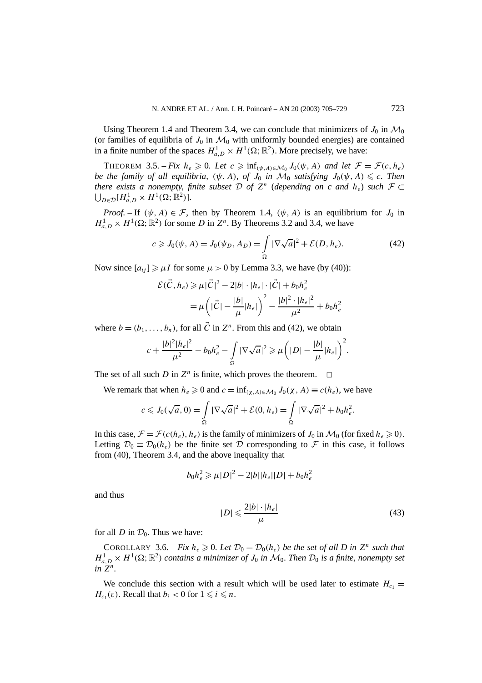Using Theorem 1.4 and Theorem 3.4, we can conclude that minimizers of  $J_0$  in  $\mathcal{M}_0$ (or families of equilibria of  $J_0$  in  $\mathcal{M}_0$  with uniformly bounded energies) are contained in a finite number of the spaces  $H_{a,D}^1 \times H^1(\Omega; \mathbb{R}^2)$ . More precisely, we have:

THEOREM 3.5. – *Fix*  $h_e \geq 0$ . Let  $c \geq \inf_{(\psi,A) \in \mathcal{M}_0} J_0(\psi,A)$  and let  $\mathcal{F} = \mathcal{F}(c, h_e)$ *be the family of all equilibria,*  $(\psi, A)$ *, of*  $J_0$  *in*  $\mathcal{M}_0$  *satisfying*  $J_0(\psi, A) \leq c$ *. Then there exists a nonempty, finite subset*  $D$  *of*  $Z<sup>n</sup>$  (*depending on c and*  $h<sub>e</sub>$ ) *such*  $F \subset$  $\bigcup_{D \in \mathcal{D}} [H_{a,D}^1 \times H^1(\Omega;\mathbb{R}^2)].$ 

*Proof.* – If  $(\psi, A) \in \mathcal{F}$ , then by Theorem 1.4,  $(\psi, A)$  is an equilibrium for  $J_0$  in  $H_{a,D}^1 \times H^1(\Omega; \mathbb{R}^2)$  for some *D* in  $Z^n$ . By Theorems 3.2 and 3.4, we have

$$
c \geq J_0(\psi, A) = J_0(\psi, A_D) = \int_{\Omega} |\nabla \sqrt{a}|^2 + \mathcal{E}(D, h_e). \tag{42}
$$

Now since  $[a_{ii}] \ge \mu I$  for some  $\mu > 0$  by Lemma 3.3, we have (by (40)):

$$
\mathcal{E}(\vec{C}, h_e) \ge \mu |\vec{C}|^2 - 2|b| \cdot |h_e| \cdot |\vec{C}| + b_0 h_e^2
$$
  
=  $\mu \left( |\vec{C}| - \frac{|b|}{\mu} |h_e| \right)^2 - \frac{|b|^2 \cdot |h_e|^2}{\mu^2} + b_0 h_e^2$ 

where  $b = (b_1, \ldots, b_n)$ , for all  $\vec{C}$  in  $Z^n$ . From this and (42), we obtain

$$
c + \frac{|b|^2|h_e|^2}{\mu^2} - b_0h_e^2 - \int\limits_{\Omega} |\nabla \sqrt{a}|^2 \geq \mu \left(|D| - \frac{|b|}{\mu}|h_e|\right)^2.
$$

The set of all such *D* in  $Z^n$  is finite, which proves the theorem.  $\Box$ 

We remark that when  $h_e \geq 0$  and  $c = \inf_{(\chi, A) \in \mathcal{M}_0} J_0(\chi, A) \equiv c(h_e)$ , we have

$$
c \leqslant J_0(\sqrt{a}, 0) = \int_{\Omega} |\nabla \sqrt{a}|^2 + \mathcal{E}(0, h_e) = \int_{\Omega} |\nabla \sqrt{a}|^2 + b_0 h_e^2.
$$

In this case,  $\mathcal{F} = \mathcal{F}(c(h_e), h_e)$  is the family of minimizers of  $J_0$  in  $\mathcal{M}_0$  (for fixed  $h_e \ge 0$ ). Letting  $\mathcal{D}_0 \equiv \mathcal{D}_0(h_e)$  be the finite set  $\mathcal D$  corresponding to  $\mathcal F$  in this case, it follows from (40), Theorem 3.4, and the above inequality that

$$
b_0 h_e^2 \ge \mu |D|^2 - 2|b||h_e||D| + b_0 h_e^2
$$

and thus

$$
|D| \leqslant \frac{2|b| \cdot |h_e|}{\mu} \tag{43}
$$

for all *D* in  $\mathcal{D}_0$ . Thus we have:

COROLLARY 3.6. – *Fix*  $h_e \ge 0$ . Let  $\mathcal{D}_0 = \mathcal{D}_0(h_e)$  be the set of all D in  $Z^n$  such that  $H_{a,D}^1 \times H^1(\Omega;\mathbb{R}^2)$  *contains a minimizer of*  $J_0$  *in*  $\mathcal{M}_0$ *. Then*  $\mathcal{D}_0$  *is a finite, nonempty set in Z<sup>n</sup>.*

We conclude this section with a result which will be used later to estimate  $H_{c_1}$  = *H<sub>c<sub>1</sub>*( $\varepsilon$ ). Recall that  $b_i < 0$  for  $1 \leq i \leq n$ .</sub>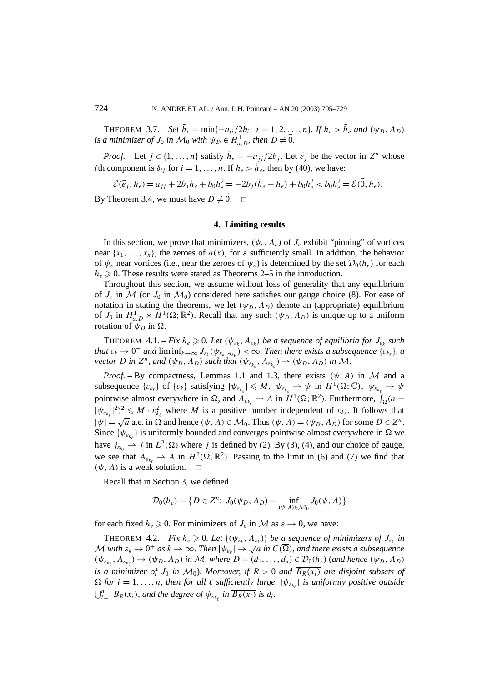THEOREM 3.7. – *Set*  $\bar{h}_e = \min\{-a_{ii}/2b_i: i = 1, 2, ..., n\}$ *. If*  $h_e > \bar{h}_e$  *and*  $(\psi_D, A_D)$ *is a minimizer of*  $J_0$  *in*  $\mathcal{M}_0$  *with*  $\psi_D \in H_{a,D}^1$ *, then*  $D \neq \vec{0}$ *.* 

*Proof.* – Let  $j \in \{1, ..., n\}$  satisfy  $\bar{h}_e = -a_{jj}/2b_j$ . Let  $\vec{e}_j$  be the vector in  $Z^n$  whose *i*th component is  $\delta_{ij}$  for  $i = 1, ..., n$ . If  $h_e > \bar{h}_e$ , then by (40), we have:

$$
\mathcal{E}(\vec{e}_j, h_e) = a_{jj} + 2b_j h_e + b_0 h_e^2 = -2b_j (\bar{h}_e - h_e) + b_0 h_e^2 < b_0 h_e^2 = \mathcal{E}(\vec{0}, h_e).
$$

By Theorem 3.4, we must have  $D \neq 0$ .  $\Box$ 

#### **4. Limiting results**

In this section, we prove that minimizers,  $(\psi_{\varepsilon}, A_{\varepsilon})$  of  $J_{\varepsilon}$  exhibit "pinning" of vortices near  $\{x_1, \ldots, x_n\}$ , the zeroes of  $a(x)$ , for  $\varepsilon$  sufficiently small. In addition, the behavior of  $\psi_{\varepsilon}$  near vortices (i.e., near the zeroes of  $\psi_{\varepsilon}$ ) is determined by the set  $\mathcal{D}_0(h_{\varepsilon})$  for each  $h_e \geq 0$ . These results were stated as Theorems 2–5 in the introduction.

Throughout this section, we assume without loss of generality that any equilibrium of  $J_{\varepsilon}$  in M (or  $J_0$  in  $\mathcal{M}_0$ ) considered here satisfies our gauge choice (8). For ease of notation in stating the theorems, we let  $(\psi_D, A_D)$  denote an (appropriate) equilibrium of  $J_0$  in  $H_{a,D}^1 \times H^1(\Omega;\mathbb{R}^2)$ . Recall that any such  $(\psi_D, A_D)$  is unique up to a uniform rotation of  $\psi_D$  in  $\Omega$ .

THEOREM 4.1. – *Fix*  $h_e \ge 0$ . Let  $(\psi_{\varepsilon_k}, A_{\varepsilon_k})$  be a sequence of equilibria for  $J_{\varepsilon_k}$  such *that*  $\varepsilon_k \to 0^+$  *and* lim  $\inf_{k\to\infty} J_{\varepsilon_k}(\psi_{\varepsilon_k, A_{\varepsilon_k}}) < \infty$ *. Then there exists a subsequence*  $\{\varepsilon_{k_\ell}\}\,$ *, a vector D in*  $Z^n$ *, and*  $(\psi_D, A_D)$  *such that*  $(\psi_{\varepsilon_{k_\ell}}, A_{\varepsilon_{k_\ell}}) \to (\psi_D, A_D)$  *in M*.

*Proof.* – By compactness, Lemmas 1.1 and 1.3, there exists  $(\psi, A)$  in M and a subsequence  $\{\varepsilon_{k_{\ell}}\}$  of  $\{\varepsilon_{k}\}$  satisfying  $|\psi_{\varepsilon_{k_{\ell}}}|\leqslant M$ ,  $\psi_{\varepsilon_{k_{\ell}}}\to\psi$  in  $H^{1}(\Omega;\mathbb{C})$ ,  $\psi_{\varepsilon_{k_{\ell}}}\to\psi$ pointwise almost everywhere in  $\Omega$ , and  $A_{\varepsilon_{k_\ell}} \to A$  in  $H^1(\Omega; \mathbb{R}^2)$ . Furthermore,  $\int_{\Omega} (a |\psi_{\varepsilon_{k_\ell}}|^2)^2 \leq M \cdot \varepsilon_{k_\ell}^2$  where *M* is a positive number independent of  $\varepsilon_{k_\ell}$ . It follows that  $|\psi| = \sqrt{a}$  a.e. in  $\Omega$  and hence  $(\psi, A) \in \mathcal{M}_0$ . Thus  $(\psi, A) = (\psi_D, A_D)$  for some  $D \in \mathbb{Z}^n$ . Since  $\{\psi_{\varepsilon_{k_\ell}}\}$  is uniformly bounded and converges pointwise almost everywhere in  $\Omega$  we have  $j_{\varepsilon_{k_\ell}} \to j$  in  $L^2(\Omega)$  where *j* is defined by (2). By (3), (4), and our choice of gauge, we see that  $A_{\varepsilon_{k_\ell}} \rightharpoonup A$  in  $H^2(\Omega; \mathbb{R}^2)$ . Passing to the limit in (6) and (7) we find that  $(\psi, A)$  is a weak solution.

Recall that in Section 3, we defined

$$
\mathcal{D}_0(h_e) = \{ D \in \mathbb{Z}^n : J_0(\psi_D, A_D) = \inf_{(\psi, A) \in \mathcal{M}_0} J_0(\psi, A) \}
$$

for each fixed  $h_e \geq 0$ . For minimizers of  $J_\varepsilon$  in M as  $\varepsilon \to 0$ , we have:

THEOREM 4.2. – *Fix*  $h_e \ge 0$ . Let  $\{(\psi_{\varepsilon_k}, A_{\varepsilon_k})\}$  be a sequence of minimizers of  $J_{\varepsilon_k}$  in  $\mathcal M$  *with*  $\varepsilon_k \to 0^+$  *as*  $k \to \infty$ *. Then*  $|\psi_{\varepsilon_k}| \to \sqrt{a}$  *in*  $C(\overline{\Omega})$ *, and there exists a subsequence*  $(\psi_{\varepsilon_{k_\ell}}, A_{\varepsilon_{k_\ell}}) \to (\psi_D, A_D)$  *in M*, where  $D = (d_1, \ldots, d_n) \in \mathcal{D}_0(h_e)$  (and hence  $(\psi_D, A_D)$ ) *is a minimizer of*  $J_0$  *in*  $\mathcal{M}_0$ *). Moreover, if*  $R > 0$  *and*  $\overline{B_R(x_i)}$  *are disjoint subsets of*  $\Omega$  *for*  $i = 1, \ldots, n$ *, then for all*  $\ell$  *sufficiently large,*  $|\psi_{\varepsilon_{k_{\ell}}}|$  *is uniformly positive outside*  $\bigcup_{i=1}^{n} B_R(x_i)$ *, and the degree of*  $\psi_{\varepsilon_{k_\ell}}$  *in*  $\overline{B_R(x_i)}$  *is d<sub>i</sub>*.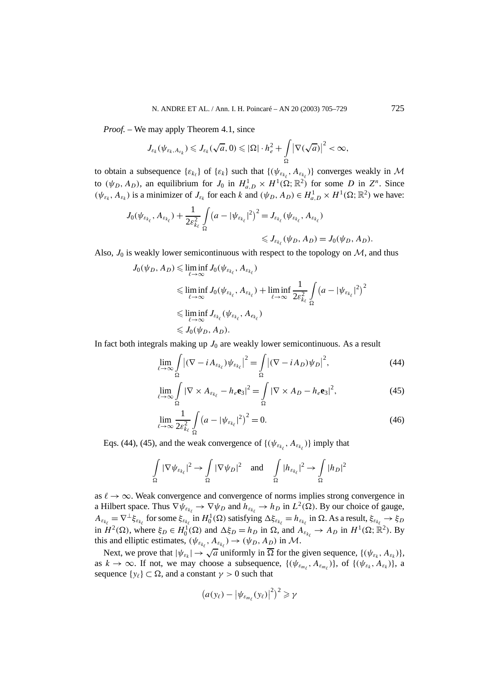*Proof. –* We may apply Theorem 4.1, since

$$
J_{\varepsilon_k}(\psi_{\varepsilon_k, A_{\varepsilon_k}}) \leqslant J_{\varepsilon_k}(\sqrt{a}, 0) \leqslant |\Omega| \cdot h_e^2 + \int_{\Omega} \left| \nabla(\sqrt{a}) \right|^2 < \infty,
$$

to obtain a subsequence  $\{\varepsilon_{k_{\ell}}\}$  of  $\{\varepsilon_k\}$  such that  $\{\psi_{\varepsilon_{k_{\ell}}}, A_{\varepsilon_{k_{\ell}}}\}\$  converges weakly in M to  $(\psi_D, A_D)$ , an equilibrium for  $J_0$  in  $H^1_{a,D} \times H^1(\Omega; \mathbb{R}^2)$  for some *D* in  $Z^n$ . Since  $(\psi_{\varepsilon_k}, A_{\varepsilon_k})$  is a minimizer of  $J_{\varepsilon_k}$  for each *k* and  $(\psi_D, A_D) \in H^1_{a,D} \times H^1(\Omega; \mathbb{R}^2)$  we have:

$$
J_0(\psi_{\varepsilon_{k_\ell}}, A_{\varepsilon_{k_\ell}}) + \frac{1}{2\varepsilon_{k_\ell}^2} \int\limits_{\Omega} (a - |\psi_{\varepsilon_{k_\ell}}|^2)^2 = J_{\varepsilon_{k_\ell}}(\psi_{\varepsilon_{k_\ell}}, A_{\varepsilon_{k_\ell}}) \\
\leq J_{\varepsilon_{k_\ell}}(\psi_D, A_D) = J_0(\psi_D, A_D).
$$

Also,  $J_0$  is weakly lower semicontinuous with respect to the topology on  $M$ , and thus

$$
J_0(\psi_D, A_D) \leq \liminf_{\ell \to \infty} J_0(\psi_{\varepsilon_{k_\ell}}, A_{\varepsilon_{k_\ell}})
$$
  
\n
$$
\leq \liminf_{\ell \to \infty} J_0(\psi_{\varepsilon_{k_\ell}}, A_{\varepsilon_{k_\ell}}) + \liminf_{\ell \to \infty} \frac{1}{2\varepsilon_{k_\ell}^2} \int_{\Omega} (a - |\psi_{\varepsilon_{k_\ell}}|^2)^2
$$
  
\n
$$
\leq \liminf_{\ell \to \infty} J_{\varepsilon_{k_\ell}}(\psi_{\varepsilon_{k_\ell}}, A_{\varepsilon_{k_\ell}})
$$
  
\n
$$
\leq J_0(\psi_D, A_D).
$$

In fact both integrals making up  $J_0$  are weakly lower semicontinuous. As a result

$$
\lim_{\ell \to \infty} \int_{\Omega} \left| (\nabla - i A_{\varepsilon_{k_{\ell}}}) \psi_{\varepsilon_{k_{\ell}}} \right|^2 = \int_{\Omega} \left| (\nabla - i A_D) \psi_D \right|^2, \tag{44}
$$

$$
\lim_{\ell \to \infty} \int_{\Omega} |\nabla \times A_{\varepsilon_{k_{\ell}}} - h_{\varepsilon} \mathbf{e}_3|^2 = \int_{\Omega} |\nabla \times A_D - h_{\varepsilon} \mathbf{e}_3|^2, \tag{45}
$$

$$
\lim_{\ell \to \infty} \frac{1}{2\varepsilon_{k_\ell}^2} \int_{\Omega} \left( a - |\psi_{\varepsilon_{k_\ell}}|^2 \right)^2 = 0.
$$
\n(46)

Eqs. (44), (45), and the weak convergence of  $\{(\psi_{\varepsilon_{k_\ell}}, A_{\varepsilon_{k_\ell}})\}\$  imply that

$$
\int_{\Omega} |\nabla \psi_{\varepsilon_{k_{\ell}}}|^2 \to \int_{\Omega} |\nabla \psi_D|^2 \quad \text{and} \quad \int_{\Omega} |h_{\varepsilon_{k_{\ell}}}|^2 \to \int_{\Omega} |h_D|^2
$$

as  $\ell \to \infty$ . Weak convergence and convergence of norms implies strong convergence in a Hilbert space. Thus  $\nabla \psi_{\varepsilon_{k_\ell}} \to \nabla \psi_D$  and  $h_{\varepsilon_{k_\ell}} \to h_D$  in  $L^2(\Omega)$ . By our choice of gauge,  $A_{\varepsilon_{k_\ell}} = \nabla^\perp \xi_{\varepsilon_{k_\ell}}$  for some  $\xi_{\varepsilon_{k_\ell}}$  in  $H_0^1(\Omega)$  satisfying  $\Delta \xi_{\varepsilon_{k_\ell}} = h_{\varepsilon_{k_\ell}}$  in  $\Omega$ . As a result,  $\xi_{\varepsilon_{k_\ell}} \to \xi_D$ in  $H^2(\Omega)$ , where  $\xi_D \in H_0^1(\Omega)$  and  $\Delta \xi_D = h_D$  in  $\Omega$ , and  $A_{\varepsilon_{k_\ell}} \to A_D$  in  $H^1(\Omega; \mathbb{R}^2)$ . By this and elliptic estimates,  $(\psi_{\varepsilon_{k_\ell}}, A_{\varepsilon_{k_\ell}}) \to (\psi_D, A_D)$  in M.

Next, we prove that  $|\psi_{\varepsilon_k}| \to \sqrt{a}$  uniformly in  $\overline{\Omega}$  for the given sequence,  $\{(\psi_{\varepsilon_k}, A_{\varepsilon_k})\},$ as  $k \to \infty$ . If not, we may choose a subsequence,  $\{(\psi_{\varepsilon_{m_\ell}}, A_{\varepsilon_{m_\ell}})\}\$ , of  $\{(\psi_{\varepsilon_k}, A_{\varepsilon_k})\}\$ , a sequence  $\{y_\ell\} \subset \Omega$ , and a constant  $\gamma > 0$  such that

$$
(a(y_{\ell}) - |\psi_{\varepsilon_{m_{\ell}}}(y_{\ell})|^2)^2 \geq \gamma
$$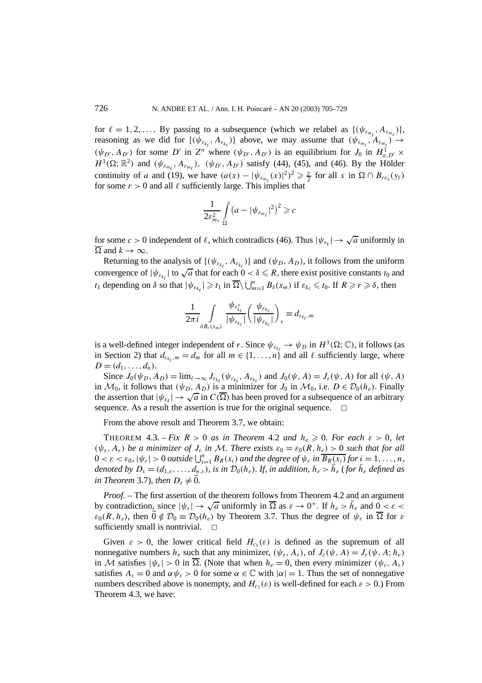for  $\ell = 1, 2, \ldots$  By passing to a subsequence (which we relabel as  $\{(\psi_{\varepsilon_{m_\ell}}, A_{\varepsilon_{m_\ell}})\},$ reasoning as we did for  $\{(\psi_{\varepsilon_{k_\ell}}, A_{\varepsilon_{k_\ell}})\}\$  above, we may assume that  $(\psi_{\varepsilon_{m_\ell}}, A_{\varepsilon_{m_\ell}}) \to$  $(\psi_{D}, A_{D'})$  for some *D'* in *Z<sup>n</sup>* where  $(\psi_{D'}, A_{D'})$  is an equilibrium for *J*<sub>0</sub> in  $H_{a,D'}^{1}$  ×  $H^1(\Omega; \mathbb{R}^2)$  and  $(\psi_{\varepsilon_{m_\ell}}, A_{\varepsilon_{m_\ell}})$ ,  $(\psi_{D'}, A_{D'})$  satisfy (44), (45), and (46). By the Hölder continuity of *a* and (19), we have  $(a(x) - |\psi_{\varepsilon_{m_\ell}}(x)|^2)^2 \ge \frac{\gamma}{2}$  for all *x* in  $\Omega \cap B_{r\varepsilon_\ell}(y_\ell)$ for some  $r > 0$  and all  $\ell$  sufficiently large. This implies that

$$
\frac{1}{2\varepsilon_{m_{\ell}}^2} \int\limits_{\Omega} \left( a - |\psi_{\varepsilon_{m_{\ell}}}^2|^2 \right)^2 \geqslant c
$$

for some  $c > 0$  independent of  $\ell$ , which contradicts (46). Thus  $|\psi_{\varepsilon_k}| \to \sqrt{a}$  uniformly in  $Ω$  and  $k \rightarrow ∞$ .

Returning to the analysis of  $\{\psi_{\varepsilon_{k_\ell}}, A_{\varepsilon_{k_\ell}}\}$  and  $(\psi_D, A_D)$ , it follows from the uniform convergence of  $|\psi_{\varepsilon_{k_\ell}}|$  to  $\sqrt{a}$  that for each  $0 < \delta \le R$ , there exist positive constants  $t_0$  and convergence of  $|\psi_{\varepsilon_{k_\ell}}|$  to  $\sqrt{a}$  that for each  $0 < \delta \le R$ , there exist positive constants  $t_0$  and *t*<sub>1</sub> depending on *δ* so that  $|\psi_{\varepsilon_{k_\ell}}| \geq t_1$  in  $\overline{\Omega} \setminus \bigcup_{m=1}^n B_\delta(x_m)$  if  $\varepsilon_{k_\ell} \leq t_0$ . If  $R \geq r \geq \delta$ , then

$$
\frac{1}{2\pi i}\int\limits_{\partial B_r(x_m)}\frac{\psi_{\varepsilon_{k_\ell}^*}}{|\psi_{\varepsilon_{k_\ell}}|}\left(\frac{\psi_{\varepsilon_{k_\ell}}}{|\psi_{\varepsilon_{k_\ell}}|}\right)_\tau\equiv d_{\varepsilon_{k_\ell},m}
$$

is a well-defined integer independent of *r*. Since  $\psi_{\varepsilon_{k}} \to \psi_D$  in  $H^1(\Omega; \mathbb{C})$ , it follows (as in Section 2) that  $d_{\varepsilon_{k_f},m} = d_m$  for all  $m \in \{1,\ldots,n\}$  and all  $\ell$  sufficiently large, where  $D = (d_1, \ldots, d_n).$ 

Since  $J_0(\psi_D, A_D) = \lim_{\ell \to \infty} J_{\varepsilon_{k_\ell}}(\psi_{\varepsilon_{k_\ell}}, A_{\varepsilon_{k_\ell}})$  and  $J_0(\psi, A) = J_{\varepsilon}(\psi, A)$  for all  $(\psi, A)$ in  $\mathcal{M}_0$ , it follows that  $(\psi_D, A_D)$  is a minimizer for  $J_0$  in  $\mathcal{M}_0$ , i.e.  $D \in \mathcal{D}_0(h_e)$ . Finally the assertion that  $|\psi_{\varepsilon_k}| \to \sqrt{a}$  in  $C(\overline{\Omega})$  has been proved for a subsequence of an arbitrary sequence. As a result the assertion is true for the original sequence.  $\Box$ 

From the above result and Theorem 3.7, we obtain:

THEOREM 4.3. – *Fix*  $R > 0$  *as in Theorem* 4.2 *and*  $h_e \ge 0$ *. For each*  $\varepsilon > 0$ *, let*  $(\psi_{\varepsilon}, A_{\varepsilon})$  *be a minimizer of*  $J_{\varepsilon}$  *in* M. There exists  $\varepsilon_0 = \varepsilon_0(R, h_{\varepsilon}) > 0$  such that for all  $0 < \varepsilon < \varepsilon_0$ ,  $|\psi_{\varepsilon}| > 0$  *outside*  $\bigcup_{i=1}^n B_R(x_i)$  *and the degree of*  $\psi_{\varepsilon}$  *in*  $\overline{B_R(x_i)}$  *for*  $i = 1, \ldots, n$ *, denoted by*  $D_{\varepsilon} = (d_{1,\varepsilon}, \ldots, d_{n,\varepsilon})$ *, is in*  $\mathcal{D}_0(h_{\varepsilon})$ *. If, in addition,*  $h_{\varepsilon} > h_{\varepsilon}$  (for  $h_{\varepsilon}$  *defined as in Theorem* 3.7)*, then*  $D_{\varepsilon} \neq 0$ *.* 

*Proof. –* The first assertion of the theorem follows from Theorem 4.2 and an argument by contradiction, since  $|\psi_{\varepsilon}| \to \sqrt{a}$  uniformly in  $\overline{\Omega}$  as  $\varepsilon \to 0^+$ . If  $h_e > \overline{h}_e$  and  $0 < \varepsilon <$  $\varepsilon_0(R, h_e)$ , then  $0 \notin \mathcal{D}_0 \equiv \mathcal{D}_0(h_e)$  by Theorem 3.7. Thus the degree of  $\psi_{\varepsilon}$  in  $\overline{\Omega}$  for  $\varepsilon$ sufficiently small is nontrivial.

Given  $\varepsilon > 0$ , the lower critical field  $H_{c_1}(\varepsilon)$  is defined as the supremum of all nonnegative numbers  $h_e$  such that any minimizer,  $(\psi_{\varepsilon}, A_{\varepsilon})$ , of  $J_{\varepsilon}(\psi, A) = J_{\varepsilon}(\psi, A; h_e)$ in M satisfies  $|\psi_{\varepsilon}| > 0$  in  $\overline{\Omega}$ . (Note that when  $h_e = 0$ , then every minimizer  $(\psi_{\varepsilon}, A_{\varepsilon})$ satisfies  $A_{\varepsilon} = 0$  and  $\alpha \psi_{\varepsilon} > 0$  for some  $\alpha \in \mathbb{C}$  with  $|\alpha| = 1$ . Thus the set of nonnegative numbers described above is nonempty, and  $H_{c_1}(\varepsilon)$  is well-defined for each  $\varepsilon > 0$ .) From Theorem 4.3, we have: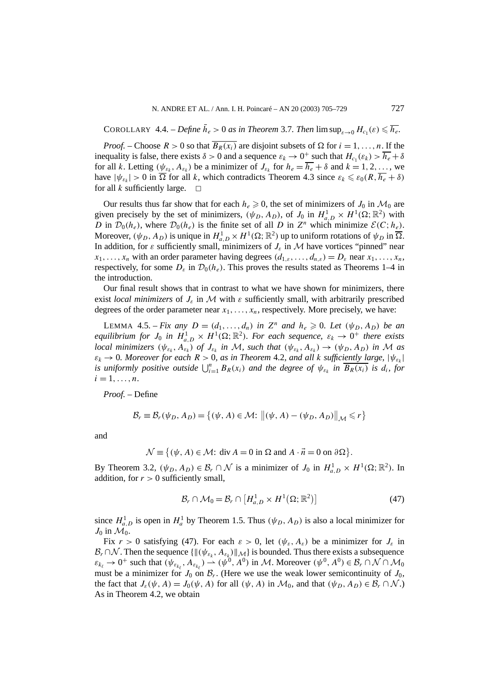$\text{COROLLARY } 4.4. - \text{Define } \bar{h}_e > 0 \text{ as in Theorem 3.7. Then } \limsup_{\varepsilon \to 0} H_{c_1}(\varepsilon) \leqslant \overline{h_e}.$ 

*Proof.* – Choose  $R > 0$  so that  $\overline{B_R(x_i)}$  are disjoint subsets of  $\Omega$  for  $i = 1, \ldots, n$ . If the inequality is false, there exists  $\delta > 0$  and a sequence  $\varepsilon_k \to 0^+$  such that  $H_c(\varepsilon_k) > \overline{h_e} + \delta$ for all *k*. Letting  $(\psi_{\varepsilon_k}, A_{\varepsilon_k})$  be a minimizer of  $J_{\varepsilon_k}$  for  $h_e = \overline{h_e} + \delta$  and  $k = 1, 2, \ldots$ , we have  $|\psi_{\varepsilon_k}| > 0$  in  $\overline{\Omega}$  for all *k*, which contradicts Theorem 4.3 since  $\varepsilon_k \leq \varepsilon_0(R, \overline{h_e} + \delta)$ for all  $k$  sufficiently large.

Our results thus far show that for each  $h_e \ge 0$ , the set of minimizers of  $J_0$  in  $\mathcal{M}_0$  are given precisely by the set of minimizers,  $(\psi_D, A_D)$ , of  $J_0$  in  $H_{a,D}^1 \times H^1(\Omega; \mathbb{R}^2)$  with *D* in  $\mathcal{D}_0(h_e)$ , where  $\mathcal{D}_0(h_e)$  is the finite set of all *D* in  $Z^n$  which minimize  $\mathcal{E}(C;h_e)$ . Moreover,  $(\psi_D, A_D)$  is unique in  $H_{a,D}^1 \times H^1(\Omega; \mathbb{R}^2)$  up to uniform rotations of  $\psi_D$  in  $\overline{\Omega}$ . In addition, for  $\varepsilon$  sufficiently small, minimizers of  $J_{\varepsilon}$  in M have vortices "pinned" near  $x_1, \ldots, x_n$  with an order parameter having degrees  $(d_{1,\varepsilon}, \ldots, d_{n,\varepsilon}) = D_{\varepsilon}$  near  $x_1, \ldots, x_n$ , respectively, for some  $D_{\varepsilon}$  in  $\mathcal{D}_0(h_e)$ . This proves the results stated as Theorems 1–4 in the introduction.

Our final result shows that in contrast to what we have shown for minimizers, there exist *local minimizers* of  $J_{\varepsilon}$  in M with  $\varepsilon$  sufficiently small, with arbitrarily prescribed degrees of the order parameter near  $x_1, \ldots, x_n$ , respectively. More precisely, we have:

LEMMA 4.5. – *Fix any*  $D = (d_1, \ldots, d_n)$  *in*  $Z^n$  *and*  $h_e \ge 0$ *. Let*  $(\psi_D, A_D)$  *be an equilibrium for*  $J_0$  *in*  $H_{a,D}^1 \times H^1(\Omega;\mathbb{R}^2)$ *. For each sequence,*  $\varepsilon_k \to 0^+$  *there exists local minimizers*  $(\psi_{\varepsilon_k}, A_{\varepsilon_k})$  *of*  $J_{\varepsilon_k}$  *in* M, such that  $(\psi_{\varepsilon_k}, A_{\varepsilon_k}) \to (\psi_D, A_D)$  *in* M as  $\varepsilon_k \to 0$ *. Moreover for each*  $R > 0$ *, as in Theorem 4.2, and all k sufficiently large,*  $|\psi_{\varepsilon_k}|$ *is uniformly positive outside*  $\bigcup_{i=1}^{n} B_R(x_i)$  *and the degree of*  $\psi_{\varepsilon_k}$  *in*  $\overline{B_R(x_i)}$  *is d<sub>i</sub>*, *for*  $i = 1, \ldots, n$ .

*Proof. –* Define

$$
\mathcal{B}_r \equiv \mathcal{B}_r(\psi_D, A_D) = \{ (\psi, A) \in \mathcal{M}: \left\| (\psi, A) - (\psi_D, A_D) \right\|_{\mathcal{M}} \leq r \}
$$

and

$$
\mathcal{N} \equiv \{ (\psi, A) \in \mathcal{M} : \text{div } A = 0 \text{ in } \Omega \text{ and } A \cdot \vec{n} = 0 \text{ on } \partial \Omega \}.
$$

By Theorem 3.2,  $(\psi_D, A_D) \in \mathcal{B}_r \cap \mathcal{N}$  is a minimizer of  $J_0$  in  $H^1_{a,D} \times H^1(\Omega; \mathbb{R}^2)$ . In addition, for  $r > 0$  sufficiently small,

$$
\mathcal{B}_r \cap \mathcal{M}_0 = \mathcal{B}_r \cap \left[ H_{a,D}^1 \times H^1(\Omega; \mathbb{R}^2) \right] \tag{47}
$$

since  $H_{a,D}^1$  is open in  $H_a^1$  by Theorem 1.5. Thus  $(\psi_D, A_D)$  is also a local minimizer for  $J_0$  in  $\mathcal{M}_0$ .

Fix  $r > 0$  satisfying (47). For each  $\varepsilon > 0$ , let  $(\psi_{\varepsilon}, A_{\varepsilon})$  be a minimizer for  $J_{\varepsilon}$  in  $\mathcal{B}_r \cap \mathcal{N}$ . Then the sequence  $\{\|(\psi_{\varepsilon_k}, A_{\varepsilon_k})\|_{\mathcal{M}}\}$  is bounded. Thus there exists a subsequence  $\varepsilon_{k_{\ell}} \to 0^+$  such that  $(\psi_{\varepsilon_{k_{\ell}}}, A_{\varepsilon_{k_{\ell}}}) \to (\psi^0, A^0)$  in M. Moreover  $(\psi^0, A^0) \in \mathcal{B}_r \cap \mathcal{N} \cap \mathcal{M}_0$ must be a minimizer for  $J_0$  on  $\mathcal{B}_r$ . (Here we use the weak lower semicontinuity of  $J_0$ , the fact that  $J_{\varepsilon}(\psi, A) = J_0(\psi, A)$  for all  $(\psi, A)$  in  $\mathcal{M}_0$ , and that  $(\psi_D, A_D) \in \mathcal{B}_r \cap \mathcal{N}$ .) As in Theorem 4.2, we obtain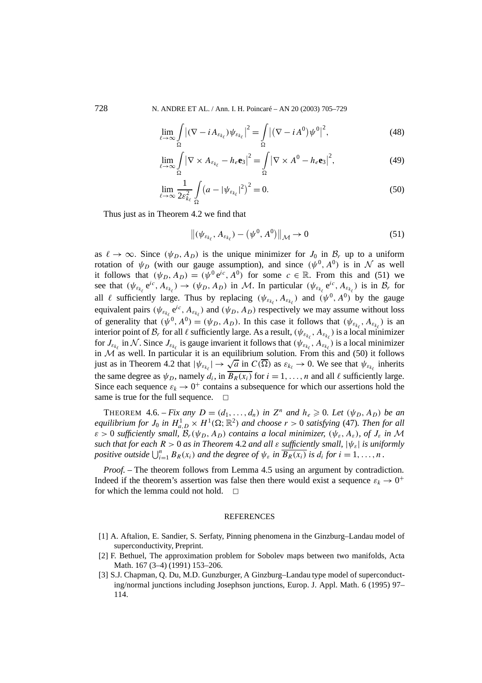728 N. ANDRE ET AL. / Ann. I. H. Poincaré – AN 20 (2003) 705–729

$$
\lim_{\ell \to \infty} \int_{\Omega} \left| (\nabla - i A_{\varepsilon_{k_{\ell}}}) \psi_{\varepsilon_{k_{\ell}}} \right|^2 = \int_{\Omega} \left| (\nabla - i A^0) \psi^0 \right|^2, \tag{48}
$$

$$
\lim_{\ell \to \infty} \int_{\Omega} \left| \nabla \times A_{\varepsilon_{k_{\ell}}} - h_{\varepsilon} \mathbf{e}_3 \right|^2 = \int_{\Omega} \left| \nabla \times A^0 - h_{\varepsilon} \mathbf{e}_3 \right|^2, \tag{49}
$$

$$
\lim_{\ell \to \infty} \frac{1}{2\varepsilon_{k_\ell}^2} \int\limits_{\Omega} \left( a - |\psi_{\varepsilon_{k_\ell}}|^2 \right)^2 = 0. \tag{50}
$$

Thus just as in Theorem 4.2 we find that

$$
\left\| \left( \psi_{\varepsilon_{k_{\ell}}}, A_{\varepsilon_{k_{\ell}}} \right) - \left( \psi^{0}, A^{0} \right) \right\|_{\mathcal{M}} \to 0 \tag{51}
$$

as  $\ell \to \infty$ *.* Since  $(\psi_D, A_D)$  is the unique minimizer for  $J_0$  in  $\mathcal{B}_r$  up to a uniform rotation of  $\psi_D$  (with our gauge assumption), and since  $(\psi^0, A^0)$  is in N as well it follows that  $(\psi_D, A_D) = (\psi^0 e^{ic}, A^0)$  for some  $c \in \mathbb{R}$ . From this and (51) we see that  $(\psi_{\varepsilon_{k_\ell}} e^{ic}, A_{\varepsilon_{k_\ell}}) \to (\psi_D, A_D)$  in M. In particular  $(\psi_{\varepsilon_{k_\ell}} e^{ic}, A_{\varepsilon_{k_\ell}})$  is in  $\mathcal{B}_r$  for all  $\ell$  sufficiently large. Thus by replacing  $(\psi_{\varepsilon_{k_\ell}}, A_{\varepsilon_{k_\ell}})$  and  $(\psi^0, A^0)$  by the gauge equivalent pairs  $(\psi_{\varepsilon_{k_\ell}}e^{ic}, A_{\varepsilon_{k_\ell}})$  and  $(\psi_D, A_D)$  respectively we may assume without loss of generality that  $(\psi^0, A^0) = (\psi_D, A_D)$ . In this case it follows that  $(\psi_{\varepsilon_{k_\ell}}, A_{\varepsilon_{k_\ell}})$  is an interior point of  $\mathcal{B}_r$  for all  $\ell$  sufficiently large. As a result,  $(\psi_{\varepsilon_{k_\ell}}, A_{\varepsilon_{k_\ell}})$  is a local minimizer for  $J_{\varepsilon_{k_\ell}}$  in N. Since  $J_{\varepsilon_{k_\ell}}$  is gauge invarient it follows that  $(\psi_{\varepsilon_{k_\ell}}, A_{\varepsilon_{k_\ell}})$  is a local minimizer in  $\mathcal{M}$  as well. In particular it is an equilibrium solution. From this and (50) it follows in *N* as went in particular it is an equilibrium solution. From this and (50) it follows just as in Theorem 4.2 that  $|\psi_{\varepsilon_{k_\ell}}| \to \sqrt{a}$  in  $C(\overline{\Omega})$  as  $\varepsilon_{k_\ell} \to 0$ . We see that  $\psi_{\varepsilon_{k_\ell}}$  inherits the same degree as  $\psi_D$ , namely  $d_i$ , in  $\overline{B_R(x_i)}$  for  $i = 1, \ldots, n$  and all  $\ell$  sufficiently large. Since each sequence  $\varepsilon_k \to 0^+$  contains a subsequence for which our assertions hold the same is true for the full sequence.  $\Box$ 

THEOREM 4.6. – *Fix any*  $D = (d_1, \ldots, d_n)$  *in*  $Z^n$  *and*  $h_e \ge 0$ *. Let*  $(\psi_D, A_D)$  *be an equilibrium for*  $J_0$  *in*  $H_{a,D}^1 \times H^1(\Omega;\mathbb{R}^2)$  *and choose*  $r > 0$  *satisfying* (47)*. Then for all*  $\varepsilon > 0$  *sufficiently small,*  $\mathcal{B}_r(\psi_D, A_D)$  *contains a local minimizer,*  $(\psi_{\varepsilon}, A_{\varepsilon})$ *, of*  $J_{\varepsilon}$  *in* M *such that for each*  $R > 0$  *as in Theorem* 4.2 *and all*  $\varepsilon$  *sufficiently small,*  $|\psi_{\varepsilon}|$  *is uniformly positive outside*  $\bigcup_{i=1}^{n} B_R(x_i)$  *and the degree of*  $\psi_{\varepsilon}$  *in*  $\overline{B_R(x_i)}$  *is d<sub>i</sub> for*  $i = 1, ..., n$ .

*Proof. –* The theorem follows from Lemma 4.5 using an argument by contradiction. Indeed if the theorem's assertion was false then there would exist a sequence  $\varepsilon_k \to 0^+$ for which the lemma could not hold.  $\Box$ 

#### REFERENCES

- [1] A. Aftalion, E. Sandier, S. Serfaty, Pinning phenomena in the Ginzburg–Landau model of superconductivity, Preprint.
- [2] F. Bethuel, The approximation problem for Sobolev maps between two manifolds, Acta Math. 167 (3–4) (1991) 153–206.
- [3] S.J. Chapman, Q. Du, M.D. Gunzburger, A Ginzburg–Landau type model of superconducting/normal junctions including Josephson junctions, Europ. J. Appl. Math. 6 (1995) 97– 114.